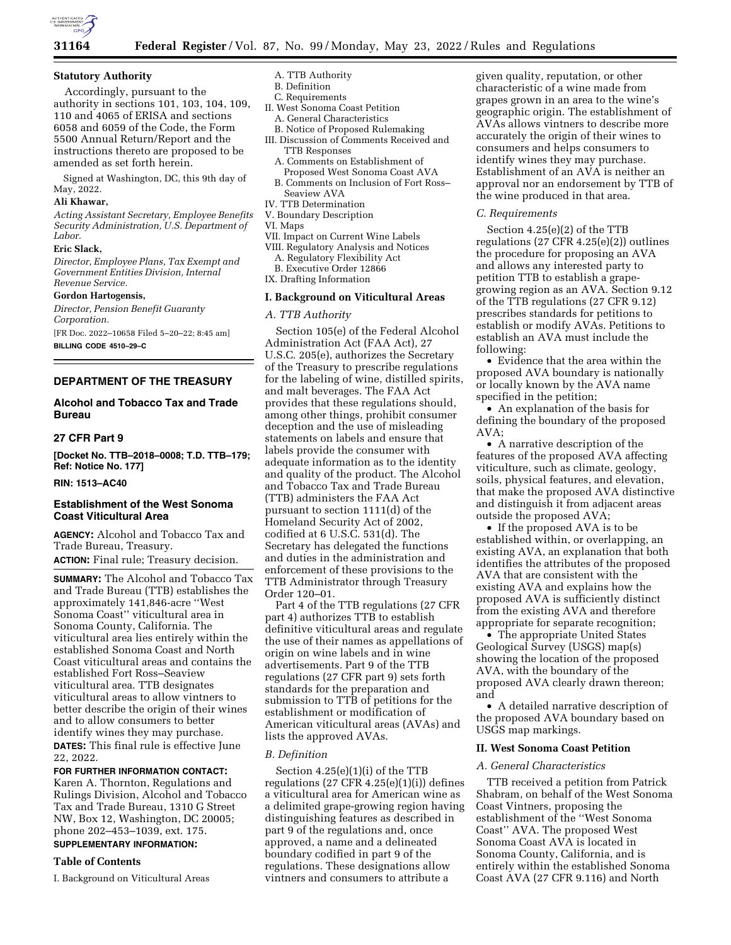

#### **Statutory Authority**

Accordingly, pursuant to the authority in sections 101, 103, 104, 109, 110 and 4065 of ERISA and sections 6058 and 6059 of the Code, the Form 5500 Annual Return/Report and the instructions thereto are proposed to be amended as set forth herein.

Signed at Washington, DC, this 9th day of May, 2022.

# **Ali Khawar,**

*Acting Assistant Secretary, Employee Benefits Security Administration, U.S. Department of Labor.* 

#### **Eric Slack,**

*Director, Employee Plans, Tax Exempt and Government Entities Division, Internal Revenue Service.* 

#### **Gordon Hartogensis,**

*Director, Pension Benefit Guaranty Corporation.*  [FR Doc. 2022–10658 Filed 5–20–22; 8:45 am] **BILLING CODE 4510–29–C** 

#### **DEPARTMENT OF THE TREASURY**

# **Alcohol and Tobacco Tax and Trade Bureau**

# **27 CFR Part 9**

**[Docket No. TTB–2018–0008; T.D. TTB–179; Ref: Notice No. 177]** 

#### **RIN: 1513–AC40**

# **Establishment of the West Sonoma Coast Viticultural Area**

**AGENCY:** Alcohol and Tobacco Tax and Trade Bureau, Treasury. **ACTION:** Final rule; Treasury decision.

**SUMMARY:** The Alcohol and Tobacco Tax and Trade Bureau (TTB) establishes the approximately 141,846-acre ''West Sonoma Coast'' viticultural area in Sonoma County, California. The viticultural area lies entirely within the established Sonoma Coast and North Coast viticultural areas and contains the established Fort Ross–Seaview viticultural area. TTB designates viticultural areas to allow vintners to better describe the origin of their wines and to allow consumers to better identify wines they may purchase. **DATES:** This final rule is effective June 22, 2022.

#### **FOR FURTHER INFORMATION CONTACT:**

Karen A. Thornton, Regulations and Rulings Division, Alcohol and Tobacco Tax and Trade Bureau, 1310 G Street NW, Box 12, Washington, DC 20005; phone 202–453–1039, ext. 175. **SUPPLEMENTARY INFORMATION:** 

# **Table of Contents**

I. Background on Viticultural Areas

- A. TTB Authority
- B. Definition C. Requirements
- II. West Sonoma Coast Petition A. General Characteristics
- B. Notice of Proposed Rulemaking
- III. Discussion of Comments Received and TTB Responses
	- A. Comments on Establishment of Proposed West Sonoma Coast AVA
	- B. Comments on Inclusion of Fort Ross– Seaview AVA
- IV. TTB Determination
- V. Boundary Description
- VI. Maps
- VII. Impact on Current Wine Labels
- VIII. Regulatory Analysis and Notices
	- A. Regulatory Flexibility Act
	- B. Executive Order 12866

IX. Drafting Information

#### **I. Background on Viticultural Areas**

#### *A. TTB Authority*

Section 105(e) of the Federal Alcohol Administration Act (FAA Act), 27 U.S.C. 205(e), authorizes the Secretary of the Treasury to prescribe regulations for the labeling of wine, distilled spirits, and malt beverages. The FAA Act provides that these regulations should, among other things, prohibit consumer deception and the use of misleading statements on labels and ensure that labels provide the consumer with adequate information as to the identity and quality of the product. The Alcohol and Tobacco Tax and Trade Bureau (TTB) administers the FAA Act pursuant to section 1111(d) of the Homeland Security Act of 2002, codified at 6 U.S.C. 531(d). The Secretary has delegated the functions and duties in the administration and enforcement of these provisions to the TTB Administrator through Treasury Order 120–01.

Part 4 of the TTB regulations (27 CFR part 4) authorizes TTB to establish definitive viticultural areas and regulate the use of their names as appellations of origin on wine labels and in wine advertisements. Part 9 of the TTB regulations (27 CFR part 9) sets forth standards for the preparation and submission to TTB of petitions for the establishment or modification of American viticultural areas (AVAs) and lists the approved AVAs.

#### *B. Definition*

Section 4.25(e)(1)(i) of the TTB regulations  $(27 \text{ CFR } 4.25(e)(1)(i))$  defines a viticultural area for American wine as a delimited grape-growing region having distinguishing features as described in part 9 of the regulations and, once approved, a name and a delineated boundary codified in part 9 of the regulations. These designations allow vintners and consumers to attribute a

given quality, reputation, or other characteristic of a wine made from grapes grown in an area to the wine's geographic origin. The establishment of AVAs allows vintners to describe more accurately the origin of their wines to consumers and helps consumers to identify wines they may purchase. Establishment of an AVA is neither an approval nor an endorsement by TTB of the wine produced in that area.

#### *C. Requirements*

Section 4.25(e)(2) of the TTB regulations (27 CFR 4.25(e)(2)) outlines the procedure for proposing an AVA and allows any interested party to petition TTB to establish a grapegrowing region as an AVA. Section 9.12 of the TTB regulations (27 CFR 9.12) prescribes standards for petitions to establish or modify AVAs. Petitions to establish an AVA must include the following:

• Evidence that the area within the proposed AVA boundary is nationally or locally known by the AVA name specified in the petition;

• An explanation of the basis for defining the boundary of the proposed AVA;

• A narrative description of the features of the proposed AVA affecting viticulture, such as climate, geology, soils, physical features, and elevation, that make the proposed AVA distinctive and distinguish it from adjacent areas outside the proposed AVA;

• If the proposed AVA is to be established within, or overlapping, an existing AVA, an explanation that both identifies the attributes of the proposed AVA that are consistent with the existing AVA and explains how the proposed AVA is sufficiently distinct from the existing AVA and therefore appropriate for separate recognition;

• The appropriate United States Geological Survey (USGS) map(s) showing the location of the proposed AVA, with the boundary of the proposed AVA clearly drawn thereon; and

• A detailed narrative description of the proposed AVA boundary based on USGS map markings.

# **II. West Sonoma Coast Petition**

# *A. General Characteristics*

TTB received a petition from Patrick Shabram, on behalf of the West Sonoma Coast Vintners, proposing the establishment of the ''West Sonoma Coast'' AVA. The proposed West Sonoma Coast AVA is located in Sonoma County, California, and is entirely within the established Sonoma Coast AVA (27 CFR 9.116) and North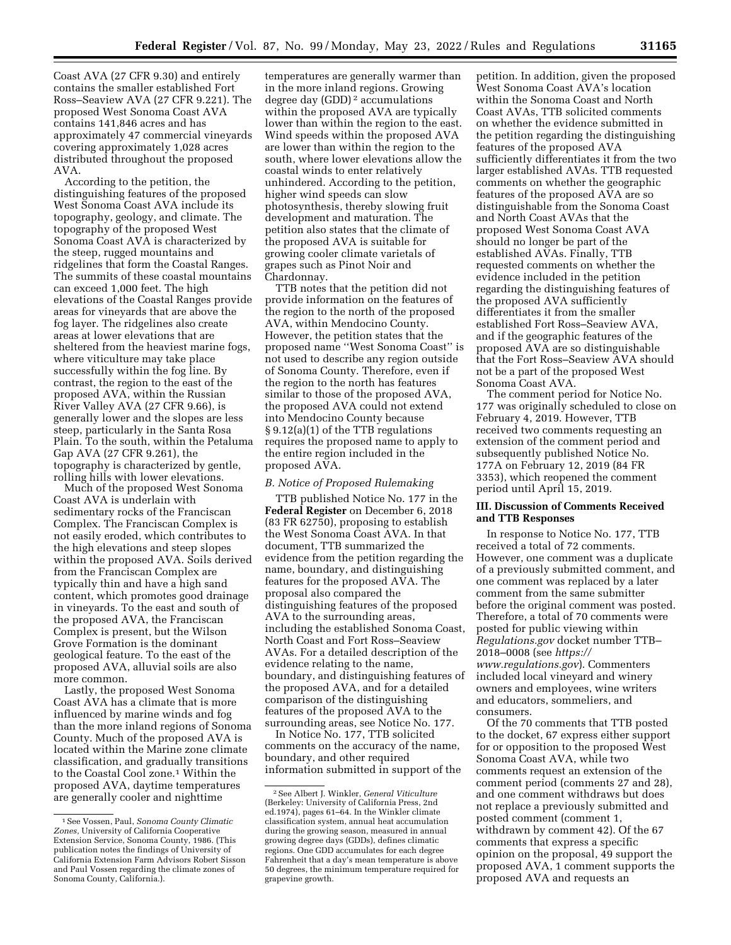Coast AVA (27 CFR 9.30) and entirely contains the smaller established Fort Ross–Seaview AVA (27 CFR 9.221). The proposed West Sonoma Coast AVA contains 141,846 acres and has approximately 47 commercial vineyards covering approximately 1,028 acres distributed throughout the proposed AVA.

According to the petition, the distinguishing features of the proposed West Sonoma Coast AVA include its topography, geology, and climate. The topography of the proposed West Sonoma Coast AVA is characterized by the steep, rugged mountains and ridgelines that form the Coastal Ranges. The summits of these coastal mountains can exceed 1,000 feet. The high elevations of the Coastal Ranges provide areas for vineyards that are above the fog layer. The ridgelines also create areas at lower elevations that are sheltered from the heaviest marine fogs, where viticulture may take place successfully within the fog line. By contrast, the region to the east of the proposed AVA, within the Russian River Valley AVA (27 CFR 9.66), is generally lower and the slopes are less steep, particularly in the Santa Rosa Plain. To the south, within the Petaluma Gap AVA (27 CFR 9.261), the topography is characterized by gentle, rolling hills with lower elevations.

Much of the proposed West Sonoma Coast AVA is underlain with sedimentary rocks of the Franciscan Complex. The Franciscan Complex is not easily eroded, which contributes to the high elevations and steep slopes within the proposed AVA. Soils derived from the Franciscan Complex are typically thin and have a high sand content, which promotes good drainage in vineyards. To the east and south of the proposed AVA, the Franciscan Complex is present, but the Wilson Grove Formation is the dominant geological feature. To the east of the proposed AVA, alluvial soils are also more common.

Lastly, the proposed West Sonoma Coast AVA has a climate that is more influenced by marine winds and fog than the more inland regions of Sonoma County. Much of the proposed AVA is located within the Marine zone climate classification, and gradually transitions to the Coastal Cool zone.1 Within the proposed AVA, daytime temperatures are generally cooler and nighttime

temperatures are generally warmer than in the more inland regions. Growing degree day (GDD) 2 accumulations within the proposed AVA are typically lower than within the region to the east. Wind speeds within the proposed AVA are lower than within the region to the south, where lower elevations allow the coastal winds to enter relatively unhindered. According to the petition, higher wind speeds can slow photosynthesis, thereby slowing fruit development and maturation. The petition also states that the climate of the proposed AVA is suitable for growing cooler climate varietals of grapes such as Pinot Noir and Chardonnay.

TTB notes that the petition did not provide information on the features of the region to the north of the proposed AVA, within Mendocino County. However, the petition states that the proposed name ''West Sonoma Coast'' is not used to describe any region outside of Sonoma County. Therefore, even if the region to the north has features similar to those of the proposed AVA, the proposed AVA could not extend into Mendocino County because § 9.12(a)(1) of the TTB regulations requires the proposed name to apply to the entire region included in the proposed AVA.

#### *B. Notice of Proposed Rulemaking*

TTB published Notice No. 177 in the **Federal Register** on December 6, 2018 (83 FR 62750), proposing to establish the West Sonoma Coast AVA. In that document, TTB summarized the evidence from the petition regarding the name, boundary, and distinguishing features for the proposed AVA. The proposal also compared the distinguishing features of the proposed AVA to the surrounding areas, including the established Sonoma Coast, North Coast and Fort Ross–Seaview AVAs. For a detailed description of the evidence relating to the name, boundary, and distinguishing features of the proposed AVA, and for a detailed comparison of the distinguishing features of the proposed AVA to the surrounding areas, see Notice No. 177.

In Notice No. 177, TTB solicited comments on the accuracy of the name, boundary, and other required information submitted in support of the petition. In addition, given the proposed West Sonoma Coast AVA's location within the Sonoma Coast and North Coast AVAs, TTB solicited comments on whether the evidence submitted in the petition regarding the distinguishing features of the proposed AVA sufficiently differentiates it from the two larger established AVAs. TTB requested comments on whether the geographic features of the proposed AVA are so distinguishable from the Sonoma Coast and North Coast AVAs that the proposed West Sonoma Coast AVA should no longer be part of the established AVAs. Finally, TTB requested comments on whether the evidence included in the petition regarding the distinguishing features of the proposed AVA sufficiently differentiates it from the smaller established Fort Ross–Seaview AVA, and if the geographic features of the proposed AVA are so distinguishable that the Fort Ross–Seaview AVA should not be a part of the proposed West Sonoma Coast AVA.

The comment period for Notice No. 177 was originally scheduled to close on February 4, 2019. However, TTB received two comments requesting an extension of the comment period and subsequently published Notice No. 177A on February 12, 2019 (84 FR 3353), which reopened the comment period until April 15, 2019.

#### **III. Discussion of Comments Received and TTB Responses**

In response to Notice No. 177, TTB received a total of 72 comments. However, one comment was a duplicate of a previously submitted comment, and one comment was replaced by a later comment from the same submitter before the original comment was posted. Therefore, a total of 70 comments were posted for public viewing within *Regulations.gov* docket number TTB– 2018–0008 (see *[https://](https://www.regulations.gov) [www.regulations.gov](https://www.regulations.gov)*). Commenters included local vineyard and winery owners and employees, wine writers and educators, sommeliers, and consumers.

Of the 70 comments that TTB posted to the docket, 67 express either support for or opposition to the proposed West Sonoma Coast AVA, while two comments request an extension of the comment period (comments 27 and 28), and one comment withdraws but does not replace a previously submitted and posted comment (comment 1, withdrawn by comment 42). Of the 67 comments that express a specific opinion on the proposal, 49 support the proposed AVA, 1 comment supports the proposed AVA and requests an

<sup>1</sup>See Vossen, Paul, *Sonoma County Climatic Zones,* University of California Cooperative Extension Service, Sonoma County, 1986. (This publication notes the findings of University of California Extension Farm Advisors Robert Sisson and Paul Vossen regarding the climate zones of Sonoma County, California.).

<sup>2</sup>See Albert J. Winkler, *General Viticulture*  (Berkeley: University of California Press, 2nd ed.1974), pages 61–64. In the Winkler climate classification system, annual heat accumulation during the growing season, measured in annual growing degree days (GDDs), defines climatic regions. One GDD accumulates for each degree Fahrenheit that a day's mean temperature is above 50 degrees, the minimum temperature required for grapevine growth.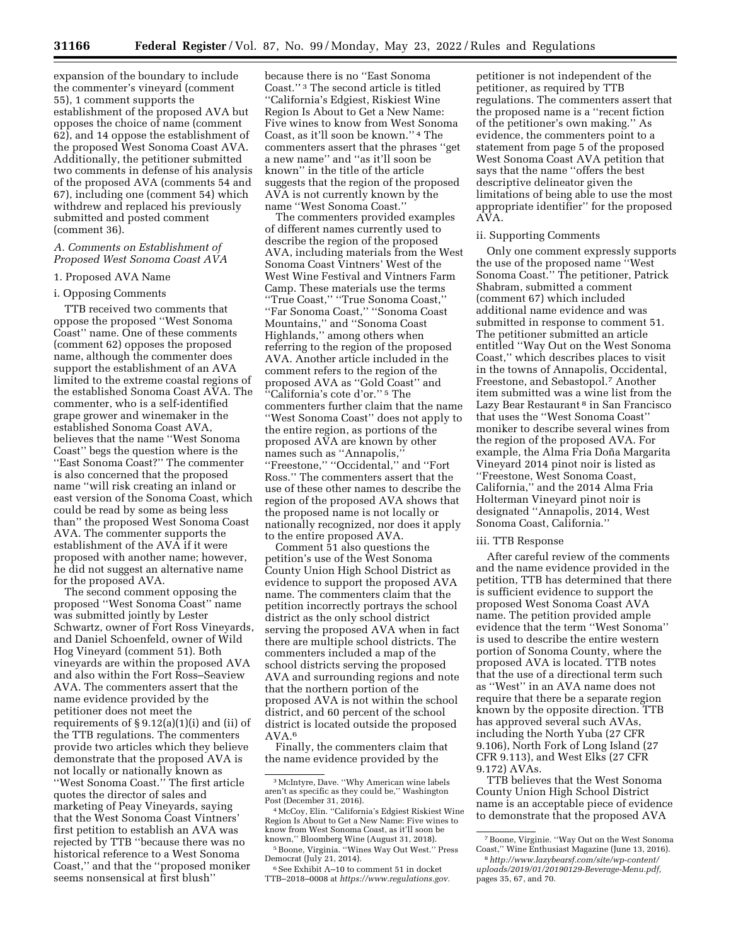**31166 Federal Register** / Vol. 87, No. 99 / Monday, May 23, 2022 / Rules and Regulations

expansion of the boundary to include the commenter's vineyard (comment 55), 1 comment supports the establishment of the proposed AVA but opposes the choice of name (comment 62), and 14 oppose the establishment of the proposed West Sonoma Coast AVA. Additionally, the petitioner submitted two comments in defense of his analysis of the proposed AVA (comments 54 and 67), including one (comment 54) which withdrew and replaced his previously submitted and posted comment (comment 36).

#### *A. Comments on Establishment of Proposed West Sonoma Coast AVA*

#### 1. Proposed AVA Name

# i. Opposing Comments

TTB received two comments that oppose the proposed ''West Sonoma Coast'' name. One of these comments (comment 62) opposes the proposed name, although the commenter does support the establishment of an AVA limited to the extreme coastal regions of the established Sonoma Coast AVA. The commenter, who is a self-identified grape grower and winemaker in the established Sonoma Coast AVA, believes that the name ''West Sonoma Coast'' begs the question where is the ''East Sonoma Coast?'' The commenter is also concerned that the proposed name ''will risk creating an inland or east version of the Sonoma Coast, which could be read by some as being less than'' the proposed West Sonoma Coast AVA. The commenter supports the establishment of the AVA if it were proposed with another name; however, he did not suggest an alternative name for the proposed AVA.

The second comment opposing the proposed ''West Sonoma Coast'' name was submitted jointly by Lester Schwartz, owner of Fort Ross Vineyards, and Daniel Schoenfeld, owner of Wild Hog Vineyard (comment 51). Both vineyards are within the proposed AVA and also within the Fort Ross–Seaview AVA. The commenters assert that the name evidence provided by the petitioner does not meet the requirements of § 9.12(a)(1)(i) and (ii) of the TTB regulations. The commenters provide two articles which they believe demonstrate that the proposed AVA is not locally or nationally known as ''West Sonoma Coast.'' The first article quotes the director of sales and marketing of Peay Vineyards, saying that the West Sonoma Coast Vintners' first petition to establish an AVA was rejected by TTB ''because there was no historical reference to a West Sonoma Coast,'' and that the ''proposed moniker seems nonsensical at first blush''

because there is no ''East Sonoma Coast.'' 3 The second article is titled ''California's Edgiest, Riskiest Wine Region Is About to Get a New Name: Five wines to know from West Sonoma Coast, as it'll soon be known.'' 4 The commenters assert that the phrases ''get a new name'' and ''as it'll soon be known'' in the title of the article suggests that the region of the proposed AVA is not currently known by the name ''West Sonoma Coast.''

The commenters provided examples of different names currently used to describe the region of the proposed AVA, including materials from the West Sonoma Coast Vintners' West of the West Wine Festival and Vintners Farm Camp. These materials use the terms ''True Coast,'' ''True Sonoma Coast,'' ''Far Sonoma Coast,'' ''Sonoma Coast Mountains,'' and ''Sonoma Coast Highlands,'' among others when referring to the region of the proposed AVA. Another article included in the comment refers to the region of the proposed AVA as ''Gold Coast'' and ''California's cote d'or.'' 5 The commenters further claim that the name ''West Sonoma Coast'' does not apply to the entire region, as portions of the proposed AVA are known by other names such as ''Annapolis,'' ''Freestone,'' ''Occidental,'' and ''Fort Ross.'' The commenters assert that the use of these other names to describe the region of the proposed AVA shows that the proposed name is not locally or nationally recognized, nor does it apply to the entire proposed AVA.

Comment 51 also questions the petition's use of the West Sonoma County Union High School District as evidence to support the proposed AVA name. The commenters claim that the petition incorrectly portrays the school district as the only school district serving the proposed AVA when in fact there are multiple school districts. The commenters included a map of the school districts serving the proposed AVA and surrounding regions and note that the northern portion of the proposed AVA is not within the school district, and 60 percent of the school district is located outside the proposed AVA.6

Finally, the commenters claim that the name evidence provided by the

 $6$  See Exhibit A–10 to comment 51 in docket TTB–2018–0008 at *[https://www.regulations.gov.](https://www.regulations.gov)* 

petitioner is not independent of the petitioner, as required by TTB regulations. The commenters assert that the proposed name is a ''recent fiction of the petitioner's own making.'' As evidence, the commenters point to a statement from page 5 of the proposed West Sonoma Coast AVA petition that says that the name ''offers the best descriptive delineator given the limitations of being able to use the most appropriate identifier'' for the proposed AVA.

#### ii. Supporting Comments

Only one comment expressly supports the use of the proposed name ''West Sonoma Coast.'' The petitioner, Patrick Shabram, submitted a comment (comment 67) which included additional name evidence and was submitted in response to comment 51. The petitioner submitted an article entitled ''Way Out on the West Sonoma Coast,'' which describes places to visit in the towns of Annapolis, Occidental, Freestone, and Sebastopol.7 Another item submitted was a wine list from the Lazy Bear Restaurant 8 in San Francisco that uses the ''West Sonoma Coast'' moniker to describe several wines from the region of the proposed AVA. For example, the Alma Fria Doña Margarita Vineyard 2014 pinot noir is listed as ''Freestone, West Sonoma Coast, California,'' and the 2014 Alma Fria Holterman Vineyard pinot noir is designated ''Annapolis, 2014, West Sonoma Coast, California.''

#### iii. TTB Response

After careful review of the comments and the name evidence provided in the petition, TTB has determined that there is sufficient evidence to support the proposed West Sonoma Coast AVA name. The petition provided ample evidence that the term ''West Sonoma'' is used to describe the entire western portion of Sonoma County, where the proposed AVA is located. TTB notes that the use of a directional term such as ''West'' in an AVA name does not require that there be a separate region known by the opposite direction. TTB has approved several such AVAs, including the North Yuba (27 CFR 9.106), North Fork of Long Island (27 CFR 9.113), and West Elks (27 CFR 9.172) AVAs.

TTB believes that the West Sonoma County Union High School District name is an acceptable piece of evidence to demonstrate that the proposed AVA

<sup>3</sup>McIntyre, Dave. ''Why American wine labels aren't as specific as they could be,'' Washington

Post (December 31, 2016). 4McCoy, Elin. ''California's Edgiest Riskiest Wine Region Is About to Get a New Name: Five wines to know from West Sonoma Coast, as it'll soon be

known,'' Bloomberg Wine (August 31, 2018).<br><sup>5</sup> Boone, Virginia. ''Wines Way Out West.'' Press<br>Democrat (July 21, 2014).

<sup>7</sup>Boone, Virginie. ''Way Out on the West Sonoma Coast,'' Wine Enthusiast Magazine (June 13, 2016).

<sup>8</sup>*[http://www.lazybearsf.com/site/wp-content/](http://www.lazybearsf.com/site/wp-content/uploads/2019/01/20190129-Beverage-Menu.pdf) [uploads/2019/01/20190129-Beverage-Menu.pdf,](http://www.lazybearsf.com/site/wp-content/uploads/2019/01/20190129-Beverage-Menu.pdf)*  pages 35, 67, and 70.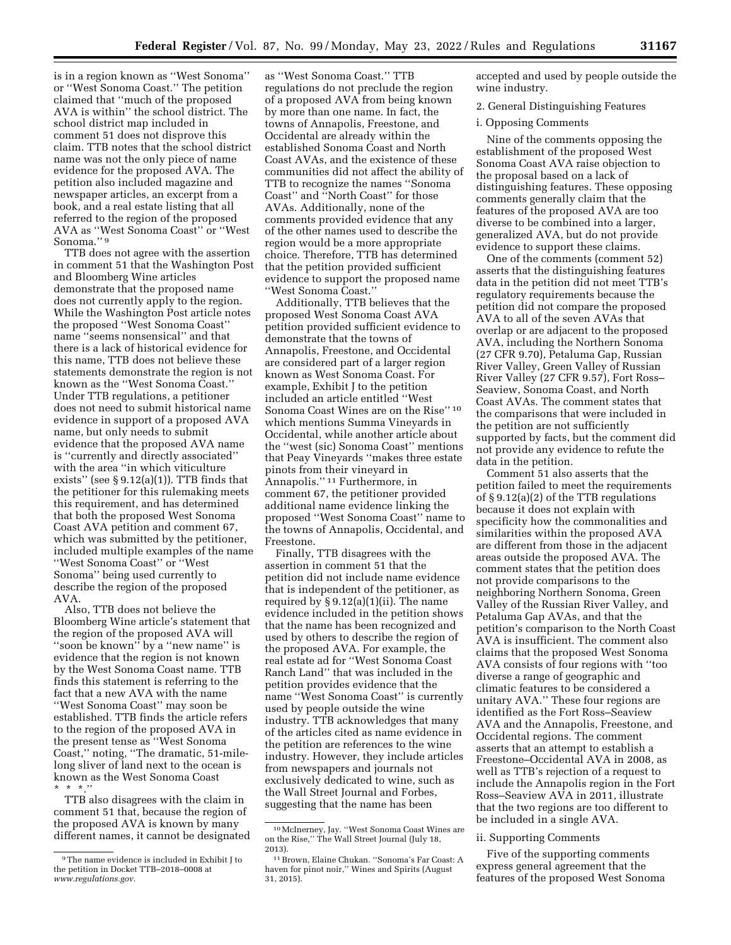is in a region known as ''West Sonoma'' or ''West Sonoma Coast.'' The petition claimed that ''much of the proposed AVA is within'' the school district. The school district map included in comment 51 does not disprove this claim. TTB notes that the school district name was not the only piece of name evidence for the proposed AVA. The petition also included magazine and newspaper articles, an excerpt from a book, and a real estate listing that all referred to the region of the proposed AVA as ''West Sonoma Coast'' or ''West Sonoma.'' 9

TTB does not agree with the assertion in comment 51 that the Washington Post and Bloomberg Wine articles demonstrate that the proposed name does not currently apply to the region. While the Washington Post article notes the proposed ''West Sonoma Coast'' name ''seems nonsensical'' and that there is a lack of historical evidence for this name, TTB does not believe these statements demonstrate the region is not known as the ''West Sonoma Coast.'' Under TTB regulations, a petitioner does not need to submit historical name evidence in support of a proposed AVA name, but only needs to submit evidence that the proposed AVA name is ''currently and directly associated'' with the area ''in which viticulture exists" (see  $\S 9.12(a)(1)$ ). TTB finds that the petitioner for this rulemaking meets this requirement, and has determined that both the proposed West Sonoma Coast AVA petition and comment 67, which was submitted by the petitioner, included multiple examples of the name ''West Sonoma Coast'' or ''West Sonoma'' being used currently to describe the region of the proposed AVA.

Also, TTB does not believe the Bloomberg Wine article's statement that the region of the proposed AVA will ''soon be known'' by a ''new name'' is evidence that the region is not known by the West Sonoma Coast name. TTB finds this statement is referring to the fact that a new AVA with the name ''West Sonoma Coast'' may soon be established. TTB finds the article refers to the region of the proposed AVA in the present tense as ''West Sonoma Coast,'' noting, ''The dramatic, 51-milelong sliver of land next to the ocean is known as the West Sonoma Coast \* \* \*.''

TTB also disagrees with the claim in comment 51 that, because the region of the proposed AVA is known by many different names, it cannot be designated

as ''West Sonoma Coast.'' TTB regulations do not preclude the region of a proposed AVA from being known by more than one name. In fact, the towns of Annapolis, Freestone, and Occidental are already within the established Sonoma Coast and North Coast AVAs, and the existence of these communities did not affect the ability of TTB to recognize the names ''Sonoma Coast'' and ''North Coast'' for those AVAs. Additionally, none of the comments provided evidence that any of the other names used to describe the region would be a more appropriate choice. Therefore, TTB has determined that the petition provided sufficient evidence to support the proposed name ''West Sonoma Coast.''

Additionally, TTB believes that the proposed West Sonoma Coast AVA petition provided sufficient evidence to demonstrate that the towns of Annapolis, Freestone, and Occidental are considered part of a larger region known as West Sonoma Coast. For example, Exhibit J to the petition included an article entitled ''West Sonoma Coast Wines are on the Rise'' 10 which mentions Summa Vineyards in Occidental, while another article about the ''west (sic) Sonoma Coast'' mentions that Peay Vineyards ''makes three estate pinots from their vineyard in Annapolis.'' 11 Furthermore, in comment 67, the petitioner provided additional name evidence linking the proposed ''West Sonoma Coast'' name to the towns of Annapolis, Occidental, and Freestone.

Finally, TTB disagrees with the assertion in comment 51 that the petition did not include name evidence that is independent of the petitioner, as required by  $\S 9.12(a)(1)(ii)$ . The name evidence included in the petition shows that the name has been recognized and used by others to describe the region of the proposed AVA. For example, the real estate ad for ''West Sonoma Coast Ranch Land'' that was included in the petition provides evidence that the name ''West Sonoma Coast'' is currently used by people outside the wine industry. TTB acknowledges that many of the articles cited as name evidence in the petition are references to the wine industry. However, they include articles from newspapers and journals not exclusively dedicated to wine, such as the Wall Street Journal and Forbes, suggesting that the name has been

accepted and used by people outside the wine industry.

2. General Distinguishing Features

i. Opposing Comments

Nine of the comments opposing the establishment of the proposed West Sonoma Coast AVA raise objection to the proposal based on a lack of distinguishing features. These opposing comments generally claim that the features of the proposed AVA are too diverse to be combined into a larger, generalized AVA, but do not provide evidence to support these claims.

One of the comments (comment 52) asserts that the distinguishing features data in the petition did not meet TTB's regulatory requirements because the petition did not compare the proposed AVA to all of the seven AVAs that overlap or are adjacent to the proposed AVA, including the Northern Sonoma (27 CFR 9.70), Petaluma Gap, Russian River Valley, Green Valley of Russian River Valley (27 CFR 9.57), Fort Ross– Seaview, Sonoma Coast, and North Coast AVAs. The comment states that the comparisons that were included in the petition are not sufficiently supported by facts, but the comment did not provide any evidence to refute the data in the petition.

Comment 51 also asserts that the petition failed to meet the requirements of § 9.12(a)(2) of the TTB regulations because it does not explain with specificity how the commonalities and similarities within the proposed AVA are different from those in the adjacent areas outside the proposed AVA. The comment states that the petition does not provide comparisons to the neighboring Northern Sonoma, Green Valley of the Russian River Valley, and Petaluma Gap AVAs, and that the petition's comparison to the North Coast AVA is insufficient. The comment also claims that the proposed West Sonoma AVA consists of four regions with ''too diverse a range of geographic and climatic features to be considered a unitary AVA.'' These four regions are identified as the Fort Ross–Seaview AVA and the Annapolis, Freestone, and Occidental regions. The comment asserts that an attempt to establish a Freestone–Occidental AVA in 2008, as well as TTB's rejection of a request to include the Annapolis region in the Fort Ross–Seaview AVA in 2011, illustrate that the two regions are too different to be included in a single AVA.

#### ii. Supporting Comments

Five of the supporting comments express general agreement that the features of the proposed West Sonoma

<sup>9</sup>The name evidence is included in Exhibit J to the petition in Docket TTB–2018–0008 at *[www.regulations.gov.](http://www.regulations.gov)* 

<sup>10</sup>McInerney, Jay. ''West Sonoma Coast Wines are on the Rise,'' The Wall Street Journal (July 18, 2013).

<sup>11</sup>Brown, Elaine Chukan. ''Sonoma's Far Coast: A haven for pinot noir,'' Wines and Spirits (August 31, 2015).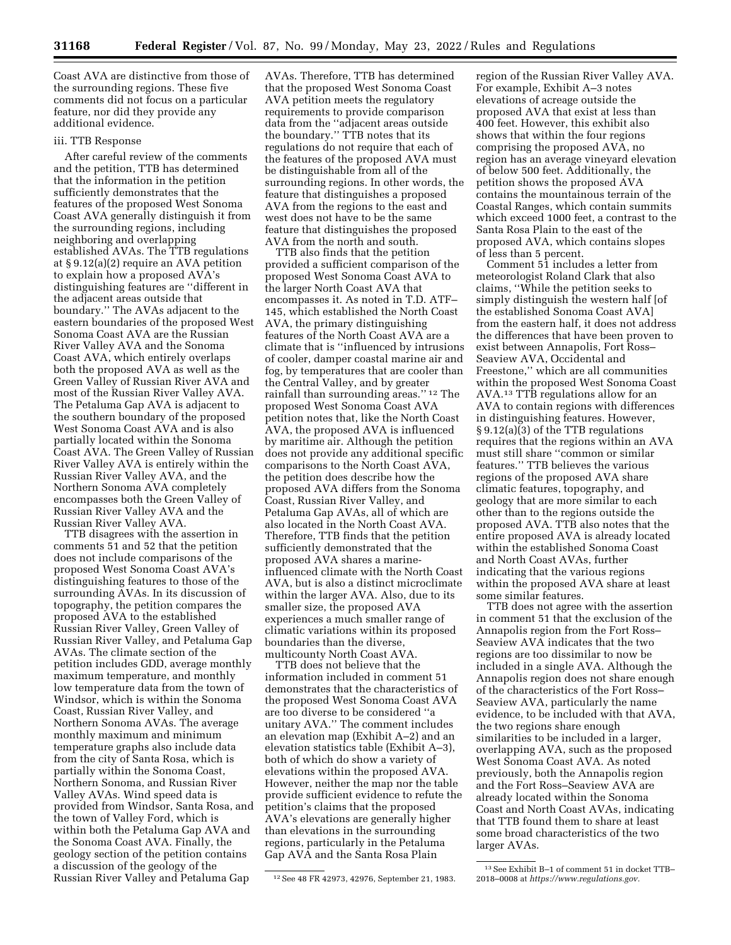Coast AVA are distinctive from those of the surrounding regions. These five comments did not focus on a particular feature, nor did they provide any additional evidence.

#### iii. TTB Response

After careful review of the comments and the petition, TTB has determined that the information in the petition sufficiently demonstrates that the features of the proposed West Sonoma Coast AVA generally distinguish it from the surrounding regions, including neighboring and overlapping established AVAs. The TTB regulations at § 9.12(a)(2) require an AVA petition to explain how a proposed AVA's distinguishing features are ''different in the adjacent areas outside that boundary.'' The AVAs adjacent to the eastern boundaries of the proposed West Sonoma Coast AVA are the Russian River Valley AVA and the Sonoma Coast AVA, which entirely overlaps both the proposed AVA as well as the Green Valley of Russian River AVA and most of the Russian River Valley AVA. The Petaluma Gap AVA is adjacent to the southern boundary of the proposed West Sonoma Coast AVA and is also partially located within the Sonoma Coast AVA. The Green Valley of Russian River Valley AVA is entirely within the Russian River Valley AVA, and the Northern Sonoma AVA completely encompasses both the Green Valley of Russian River Valley AVA and the Russian River Valley AVA.

TTB disagrees with the assertion in comments 51 and 52 that the petition does not include comparisons of the proposed West Sonoma Coast AVA's distinguishing features to those of the surrounding AVAs. In its discussion of topography, the petition compares the proposed AVA to the established Russian River Valley, Green Valley of Russian River Valley, and Petaluma Gap AVAs. The climate section of the petition includes GDD, average monthly maximum temperature, and monthly low temperature data from the town of Windsor, which is within the Sonoma Coast, Russian River Valley, and Northern Sonoma AVAs. The average monthly maximum and minimum temperature graphs also include data from the city of Santa Rosa, which is partially within the Sonoma Coast, Northern Sonoma, and Russian River Valley AVAs. Wind speed data is provided from Windsor, Santa Rosa, and the town of Valley Ford, which is within both the Petaluma Gap AVA and the Sonoma Coast AVA. Finally, the geology section of the petition contains a discussion of the geology of the Russian River Valley and Petaluma Gap

AVAs. Therefore, TTB has determined that the proposed West Sonoma Coast AVA petition meets the regulatory requirements to provide comparison data from the ''adjacent areas outside the boundary.'' TTB notes that its regulations do not require that each of the features of the proposed AVA must be distinguishable from all of the surrounding regions. In other words, the feature that distinguishes a proposed AVA from the regions to the east and west does not have to be the same feature that distinguishes the proposed AVA from the north and south.

TTB also finds that the petition provided a sufficient comparison of the proposed West Sonoma Coast AVA to the larger North Coast AVA that encompasses it. As noted in T.D. ATF– 145, which established the North Coast AVA, the primary distinguishing features of the North Coast AVA are a climate that is ''influenced by intrusions of cooler, damper coastal marine air and fog, by temperatures that are cooler than the Central Valley, and by greater rainfall than surrounding areas.'' 12 The proposed West Sonoma Coast AVA petition notes that, like the North Coast AVA, the proposed AVA is influenced by maritime air. Although the petition does not provide any additional specific comparisons to the North Coast AVA, the petition does describe how the proposed AVA differs from the Sonoma Coast, Russian River Valley, and Petaluma Gap AVAs, all of which are also located in the North Coast AVA. Therefore, TTB finds that the petition sufficiently demonstrated that the proposed AVA shares a marineinfluenced climate with the North Coast AVA, but is also a distinct microclimate within the larger AVA. Also, due to its smaller size, the proposed AVA experiences a much smaller range of climatic variations within its proposed boundaries than the diverse, multicounty North Coast AVA.

TTB does not believe that the information included in comment 51 demonstrates that the characteristics of the proposed West Sonoma Coast AVA are too diverse to be considered ''a unitary AVA.'' The comment includes an elevation map (Exhibit A–2) and an elevation statistics table (Exhibit A–3), both of which do show a variety of elevations within the proposed AVA. However, neither the map nor the table provide sufficient evidence to refute the petition's claims that the proposed AVA's elevations are generally higher than elevations in the surrounding regions, particularly in the Petaluma Gap AVA and the Santa Rosa Plain

region of the Russian River Valley AVA. For example, Exhibit A–3 notes elevations of acreage outside the proposed AVA that exist at less than 400 feet. However, this exhibit also shows that within the four regions comprising the proposed AVA, no region has an average vineyard elevation of below 500 feet. Additionally, the petition shows the proposed AVA contains the mountainous terrain of the Coastal Ranges, which contain summits which exceed 1000 feet, a contrast to the Santa Rosa Plain to the east of the proposed AVA, which contains slopes of less than 5 percent.

Comment 51 includes a letter from meteorologist Roland Clark that also claims, ''While the petition seeks to simply distinguish the western half [of the established Sonoma Coast AVA] from the eastern half, it does not address the differences that have been proven to exist between Annapolis, Fort Ross– Seaview AVA, Occidental and Freestone,'' which are all communities within the proposed West Sonoma Coast AVA.13 TTB regulations allow for an AVA to contain regions with differences in distinguishing features. However, § 9.12(a)(3) of the TTB regulations requires that the regions within an AVA must still share ''common or similar features.'' TTB believes the various regions of the proposed AVA share climatic features, topography, and geology that are more similar to each other than to the regions outside the proposed AVA. TTB also notes that the entire proposed AVA is already located within the established Sonoma Coast and North Coast AVAs, further indicating that the various regions within the proposed AVA share at least some similar features.

TTB does not agree with the assertion in comment 51 that the exclusion of the Annapolis region from the Fort Ross– Seaview AVA indicates that the two regions are too dissimilar to now be included in a single AVA. Although the Annapolis region does not share enough of the characteristics of the Fort Ross– Seaview AVA, particularly the name evidence, to be included with that AVA, the two regions share enough similarities to be included in a larger, overlapping AVA, such as the proposed West Sonoma Coast AVA. As noted previously, both the Annapolis region and the Fort Ross–Seaview AVA are already located within the Sonoma Coast and North Coast AVAs, indicating that TTB found them to share at least some broad characteristics of the two larger AVAs.

<sup>12</sup>See 48 FR 42973, 42976, September 21, 1983.

<sup>13</sup>See Exhibit B–1 of comment 51 in docket TTB– 2018–0008 at *[https://www.regulations.gov.](https://www.regulations.gov)*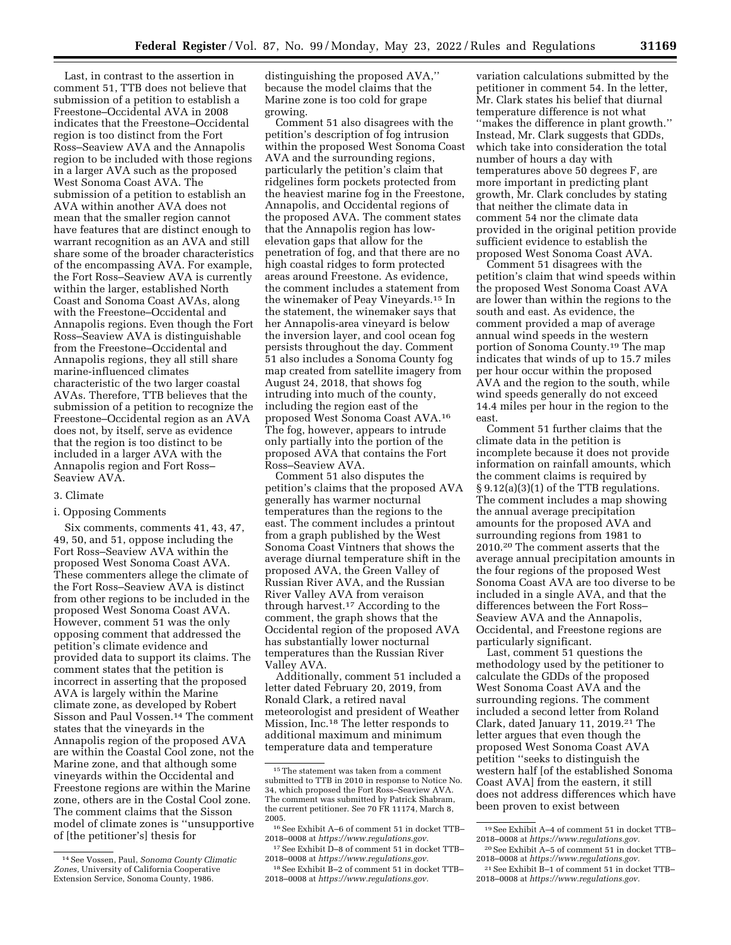Last, in contrast to the assertion in comment 51, TTB does not believe that submission of a petition to establish a Freestone–Occidental AVA in 2008 indicates that the Freestone–Occidental region is too distinct from the Fort Ross–Seaview AVA and the Annapolis region to be included with those regions in a larger AVA such as the proposed West Sonoma Coast AVA. The submission of a petition to establish an AVA within another AVA does not mean that the smaller region cannot have features that are distinct enough to warrant recognition as an AVA and still share some of the broader characteristics of the encompassing AVA. For example, the Fort Ross–Seaview AVA is currently within the larger, established North Coast and Sonoma Coast AVAs, along with the Freestone–Occidental and Annapolis regions. Even though the Fort Ross–Seaview AVA is distinguishable from the Freestone–Occidental and Annapolis regions, they all still share marine-influenced climates characteristic of the two larger coastal AVAs. Therefore, TTB believes that the submission of a petition to recognize the Freestone–Occidental region as an AVA does not, by itself, serve as evidence that the region is too distinct to be included in a larger AVA with the Annapolis region and Fort Ross– Seaview AVA.

#### 3. Climate

#### i. Opposing Comments

Six comments, comments 41, 43, 47, 49, 50, and 51, oppose including the Fort Ross–Seaview AVA within the proposed West Sonoma Coast AVA. These commenters allege the climate of the Fort Ross–Seaview AVA is distinct from other regions to be included in the proposed West Sonoma Coast AVA. However, comment 51 was the only opposing comment that addressed the petition's climate evidence and provided data to support its claims. The comment states that the petition is incorrect in asserting that the proposed AVA is largely within the Marine climate zone, as developed by Robert Sisson and Paul Vossen.14 The comment states that the vineyards in the Annapolis region of the proposed AVA are within the Coastal Cool zone, not the Marine zone, and that although some vineyards within the Occidental and Freestone regions are within the Marine zone, others are in the Costal Cool zone. The comment claims that the Sisson model of climate zones is ''unsupportive of [the petitioner's] thesis for

distinguishing the proposed AVA,'' because the model claims that the Marine zone is too cold for grape growing.

Comment 51 also disagrees with the petition's description of fog intrusion within the proposed West Sonoma Coast AVA and the surrounding regions, particularly the petition's claim that ridgelines form pockets protected from the heaviest marine fog in the Freestone, Annapolis, and Occidental regions of the proposed AVA. The comment states that the Annapolis region has lowelevation gaps that allow for the penetration of fog, and that there are no high coastal ridges to form protected areas around Freestone. As evidence, the comment includes a statement from the winemaker of Peay Vineyards.15 In the statement, the winemaker says that her Annapolis-area vineyard is below the inversion layer, and cool ocean fog persists throughout the day. Comment 51 also includes a Sonoma County fog map created from satellite imagery from August 24, 2018, that shows fog intruding into much of the county, including the region east of the proposed West Sonoma Coast AVA.16 The fog, however, appears to intrude only partially into the portion of the proposed AVA that contains the Fort Ross–Seaview AVA.

Comment 51 also disputes the petition's claims that the proposed AVA generally has warmer nocturnal temperatures than the regions to the east. The comment includes a printout from a graph published by the West Sonoma Coast Vintners that shows the average diurnal temperature shift in the proposed AVA, the Green Valley of Russian River AVA, and the Russian River Valley AVA from veraison through harvest.17 According to the comment, the graph shows that the Occidental region of the proposed AVA has substantially lower nocturnal temperatures than the Russian River Valley AVA.

Additionally, comment 51 included a letter dated February 20, 2019, from Ronald Clark, a retired naval meteorologist and president of Weather Mission, Inc.18 The letter responds to additional maximum and minimum temperature data and temperature

variation calculations submitted by the petitioner in comment 54. In the letter, Mr. Clark states his belief that diurnal temperature difference is not what ''makes the difference in plant growth.'' Instead, Mr. Clark suggests that GDDs, which take into consideration the total number of hours a day with temperatures above 50 degrees F, are more important in predicting plant growth, Mr. Clark concludes by stating that neither the climate data in comment 54 nor the climate data provided in the original petition provide sufficient evidence to establish the proposed West Sonoma Coast AVA.

Comment 51 disagrees with the petition's claim that wind speeds within the proposed West Sonoma Coast AVA are lower than within the regions to the south and east. As evidence, the comment provided a map of average annual wind speeds in the western portion of Sonoma County.19 The map indicates that winds of up to 15.7 miles per hour occur within the proposed AVA and the region to the south, while wind speeds generally do not exceed 14.4 miles per hour in the region to the east.

Comment 51 further claims that the climate data in the petition is incomplete because it does not provide information on rainfall amounts, which the comment claims is required by § 9.12(a)(3)(1) of the TTB regulations. The comment includes a map showing the annual average precipitation amounts for the proposed AVA and surrounding regions from 1981 to 2010.20 The comment asserts that the average annual precipitation amounts in the four regions of the proposed West Sonoma Coast AVA are too diverse to be included in a single AVA, and that the differences between the Fort Ross– Seaview AVA and the Annapolis, Occidental, and Freestone regions are particularly significant.

Last, comment 51 questions the methodology used by the petitioner to calculate the GDDs of the proposed West Sonoma Coast AVA and the surrounding regions. The comment included a second letter from Roland Clark, dated January 11, 2019.21 The letter argues that even though the proposed West Sonoma Coast AVA petition ''seeks to distinguish the western half [of the established Sonoma Coast AVA] from the eastern, it still does not address differences which have been proven to exist between

<sup>14</sup>See Vossen, Paul, *Sonoma County Climatic Zones,* University of California Cooperative Extension Service, Sonoma County, 1986.

<sup>15</sup>The statement was taken from a comment submitted to TTB in 2010 in response to Notice No. 34, which proposed the Fort Ross–Seaview AVA. The comment was submitted by Patrick Shabram, the current petitioner. See 70 FR 11174, March 8, 2005.

<sup>16</sup>See Exhibit A–6 of comment 51 in docket TTB– 2018–0008 at *[https://www.regulations.gov.](https://www.regulations.gov)* 

<sup>17</sup>See Exhibit D–8 of comment 51 in docket TTB– 2018–0008 at *[https://www.regulations.gov.](https://www.regulations.gov)* 

<sup>18</sup>See Exhibit B–2 of comment 51 in docket TTB– 2018–0008 at *[https://www.regulations.gov.](https://www.regulations.gov)* 

<sup>19</sup>See Exhibit A–4 of comment 51 in docket TTB– 2018–0008 at *[https://www.regulations.gov.](https://www.regulations.gov)* 

<sup>20</sup>See Exhibit A–5 of comment 51 in docket TTB– 2018–0008 at *[https://www.regulations.gov.](https://www.regulations.gov)* 

<sup>21</sup>See Exhibit B–1 of comment 51 in docket TTB– 2018–0008 at *[https://www.regulations.gov.](https://www.regulations.gov)*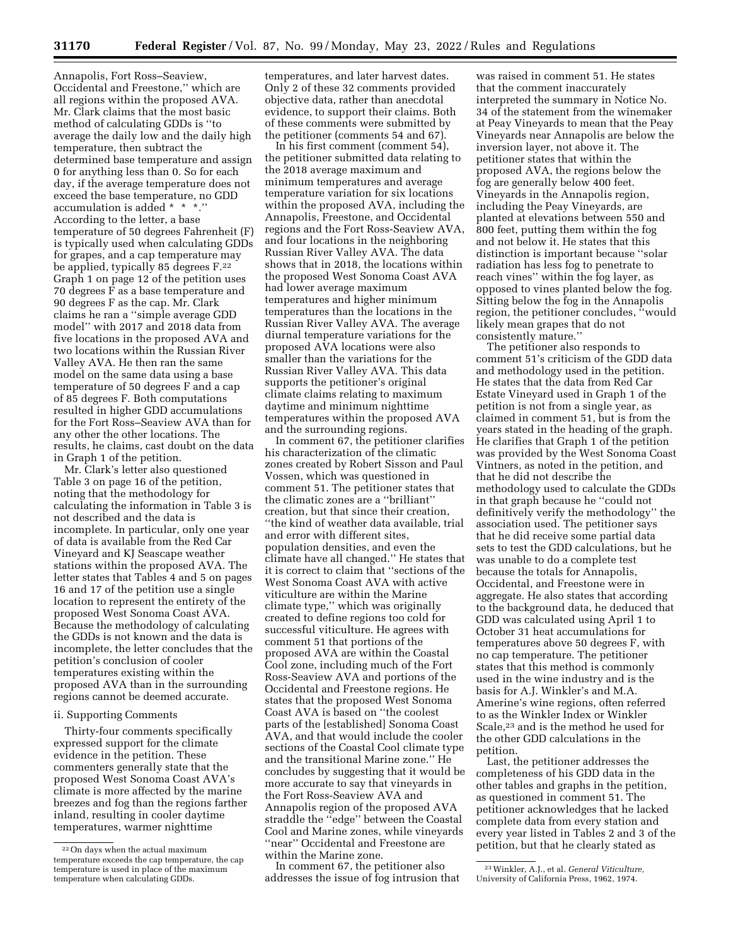Annapolis, Fort Ross–Seaview, Occidental and Freestone,'' which are all regions within the proposed AVA. Mr. Clark claims that the most basic method of calculating GDDs is ''to average the daily low and the daily high temperature, then subtract the determined base temperature and assign 0 for anything less than 0. So for each day, if the average temperature does not exceed the base temperature, no GDD accumulation is added \* \* \*.'' According to the letter, a base temperature of 50 degrees Fahrenheit (F) is typically used when calculating GDDs for grapes, and a cap temperature may be applied, typically 85 degrees F.22 Graph 1 on page 12 of the petition uses 70 degrees F as a base temperature and 90 degrees F as the cap. Mr. Clark claims he ran a ''simple average GDD model'' with 2017 and 2018 data from five locations in the proposed AVA and two locations within the Russian River Valley AVA. He then ran the same model on the same data using a base temperature of 50 degrees F and a cap of 85 degrees F. Both computations resulted in higher GDD accumulations for the Fort Ross–Seaview AVA than for any other the other locations. The results, he claims, cast doubt on the data in Graph 1 of the petition.

Mr. Clark's letter also questioned Table 3 on page 16 of the petition, noting that the methodology for calculating the information in Table 3 is not described and the data is incomplete. In particular, only one year of data is available from the Red Car Vineyard and KJ Seascape weather stations within the proposed AVA. The letter states that Tables 4 and 5 on pages 16 and 17 of the petition use a single location to represent the entirety of the proposed West Sonoma Coast AVA. Because the methodology of calculating the GDDs is not known and the data is incomplete, the letter concludes that the petition's conclusion of cooler temperatures existing within the proposed AVA than in the surrounding regions cannot be deemed accurate.

### ii. Supporting Comments

Thirty-four comments specifically expressed support for the climate evidence in the petition. These commenters generally state that the proposed West Sonoma Coast AVA's climate is more affected by the marine breezes and fog than the regions farther inland, resulting in cooler daytime temperatures, warmer nighttime

temperatures, and later harvest dates. Only 2 of these 32 comments provided objective data, rather than anecdotal evidence, to support their claims. Both of these comments were submitted by the petitioner (comments 54 and 67).

In his first comment (comment 54), the petitioner submitted data relating to the 2018 average maximum and minimum temperatures and average temperature variation for six locations within the proposed AVA, including the Annapolis, Freestone, and Occidental regions and the Fort Ross-Seaview AVA, and four locations in the neighboring Russian River Valley AVA. The data shows that in 2018, the locations within the proposed West Sonoma Coast AVA had lower average maximum temperatures and higher minimum temperatures than the locations in the Russian River Valley AVA. The average diurnal temperature variations for the proposed AVA locations were also smaller than the variations for the Russian River Valley AVA. This data supports the petitioner's original climate claims relating to maximum daytime and minimum nighttime temperatures within the proposed AVA and the surrounding regions.

In comment 67, the petitioner clarifies his characterization of the climatic zones created by Robert Sisson and Paul Vossen, which was questioned in comment 51. The petitioner states that the climatic zones are a ''brilliant'' creation, but that since their creation, ''the kind of weather data available, trial and error with different sites, population densities, and even the climate have all changed.'' He states that it is correct to claim that ''sections of the West Sonoma Coast AVA with active viticulture are within the Marine climate type,'' which was originally created to define regions too cold for successful viticulture. He agrees with comment 51 that portions of the proposed AVA are within the Coastal Cool zone, including much of the Fort Ross-Seaview AVA and portions of the Occidental and Freestone regions. He states that the proposed West Sonoma Coast AVA is based on ''the coolest parts of the [established] Sonoma Coast AVA, and that would include the cooler sections of the Coastal Cool climate type and the transitional Marine zone.'' He concludes by suggesting that it would be more accurate to say that vineyards in the Fort Ross-Seaview AVA and Annapolis region of the proposed AVA straddle the ''edge'' between the Coastal Cool and Marine zones, while vineyards ''near'' Occidental and Freestone are within the Marine zone.

In comment 67, the petitioner also addresses the issue of fog intrusion that

was raised in comment 51. He states that the comment inaccurately interpreted the summary in Notice No. 34 of the statement from the winemaker at Peay Vineyards to mean that the Peay Vineyards near Annapolis are below the inversion layer, not above it. The petitioner states that within the proposed AVA, the regions below the fog are generally below 400 feet. Vineyards in the Annapolis region, including the Peay Vineyards, are planted at elevations between 550 and 800 feet, putting them within the fog and not below it. He states that this distinction is important because ''solar radiation has less fog to penetrate to reach vines'' within the fog layer, as opposed to vines planted below the fog. Sitting below the fog in the Annapolis region, the petitioner concludes, ''would likely mean grapes that do not consistently mature.''

The petitioner also responds to comment 51's criticism of the GDD data and methodology used in the petition. He states that the data from Red Car Estate Vineyard used in Graph 1 of the petition is not from a single year, as claimed in comment 51, but is from the years stated in the heading of the graph. He clarifies that Graph 1 of the petition was provided by the West Sonoma Coast Vintners, as noted in the petition, and that he did not describe the methodology used to calculate the GDDs in that graph because he ''could not definitively verify the methodology'' the association used. The petitioner says that he did receive some partial data sets to test the GDD calculations, but he was unable to do a complete test because the totals for Annapolis, Occidental, and Freestone were in aggregate. He also states that according to the background data, he deduced that GDD was calculated using April 1 to October 31 heat accumulations for temperatures above 50 degrees F, with no cap temperature. The petitioner states that this method is commonly used in the wine industry and is the basis for A.J. Winkler's and M.A. Amerine's wine regions, often referred to as the Winkler Index or Winkler Scale,23 and is the method he used for the other GDD calculations in the petition.

Last, the petitioner addresses the completeness of his GDD data in the other tables and graphs in the petition, as questioned in comment 51. The petitioner acknowledges that he lacked complete data from every station and every year listed in Tables 2 and 3 of the petition, but that he clearly stated as

<sup>22</sup>On days when the actual maximum temperature exceeds the cap temperature, the cap temperature is used in place of the maximum temperature when calculating GDDs.

<sup>23</sup>Winkler, A.J., et al. *General Viticulture,*  University of California Press, 1962, 1974.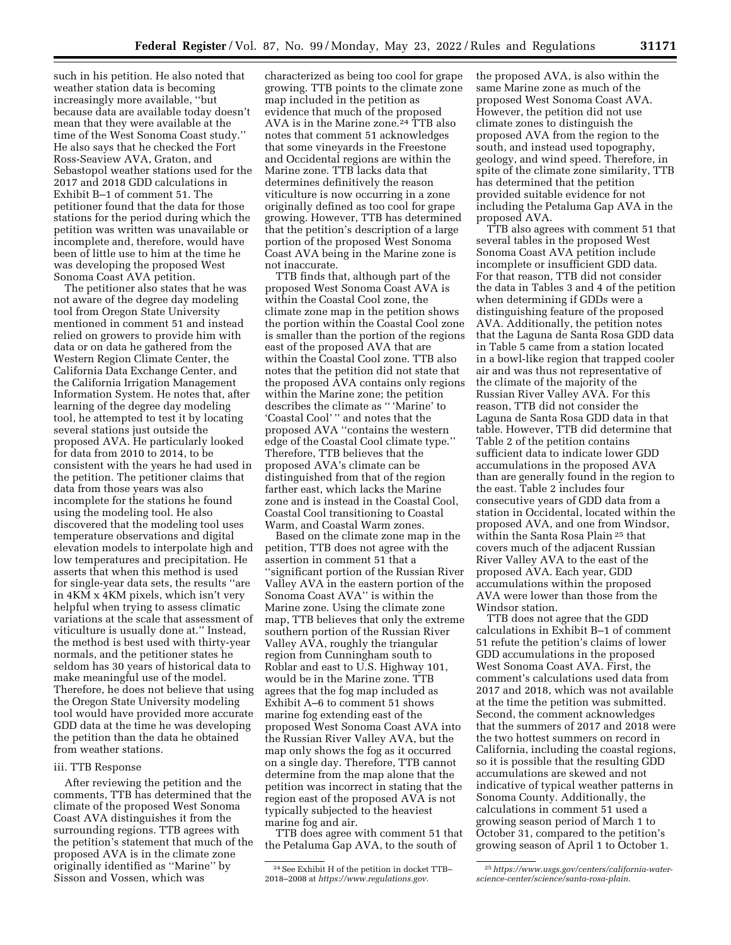such in his petition. He also noted that weather station data is becoming increasingly more available, ''but because data are available today doesn't mean that they were available at the time of the West Sonoma Coast study.'' He also says that he checked the Fort Ross-Seaview AVA, Graton, and Sebastopol weather stations used for the 2017 and 2018 GDD calculations in Exhibit B–1 of comment 51. The petitioner found that the data for those stations for the period during which the petition was written was unavailable or incomplete and, therefore, would have been of little use to him at the time he was developing the proposed West Sonoma Coast AVA petition.

The petitioner also states that he was not aware of the degree day modeling tool from Oregon State University mentioned in comment 51 and instead relied on growers to provide him with data or on data he gathered from the Western Region Climate Center, the California Data Exchange Center, and the California Irrigation Management Information System. He notes that, after learning of the degree day modeling tool, he attempted to test it by locating several stations just outside the proposed AVA. He particularly looked for data from 2010 to 2014, to be consistent with the years he had used in the petition. The petitioner claims that data from those years was also incomplete for the stations he found using the modeling tool. He also discovered that the modeling tool uses temperature observations and digital elevation models to interpolate high and low temperatures and precipitation. He asserts that when this method is used for single-year data sets, the results ''are in 4KM x 4KM pixels, which isn't very helpful when trying to assess climatic variations at the scale that assessment of viticulture is usually done at.'' Instead, the method is best used with thirty-year normals, and the petitioner states he seldom has 30 years of historical data to make meaningful use of the model. Therefore, he does not believe that using the Oregon State University modeling tool would have provided more accurate GDD data at the time he was developing the petition than the data he obtained from weather stations.

#### iii. TTB Response

After reviewing the petition and the comments, TTB has determined that the climate of the proposed West Sonoma Coast AVA distinguishes it from the surrounding regions. TTB agrees with the petition's statement that much of the proposed AVA is in the climate zone originally identified as ''Marine'' by Sisson and Vossen, which was

characterized as being too cool for grape growing. TTB points to the climate zone map included in the petition as evidence that much of the proposed AVA is in the Marine zone.24 TTB also notes that comment 51 acknowledges that some vineyards in the Freestone and Occidental regions are within the Marine zone. TTB lacks data that determines definitively the reason viticulture is now occurring in a zone originally defined as too cool for grape growing. However, TTB has determined that the petition's description of a large portion of the proposed West Sonoma Coast AVA being in the Marine zone is not inaccurate.

TTB finds that, although part of the proposed West Sonoma Coast AVA is within the Coastal Cool zone, the climate zone map in the petition shows the portion within the Coastal Cool zone is smaller than the portion of the regions east of the proposed AVA that are within the Coastal Cool zone. TTB also notes that the petition did not state that the proposed AVA contains only regions within the Marine zone; the petition describes the climate as '' 'Marine' to 'Coastal Cool' '' and notes that the proposed AVA ''contains the western edge of the Coastal Cool climate type.'' Therefore, TTB believes that the proposed AVA's climate can be distinguished from that of the region farther east, which lacks the Marine zone and is instead in the Coastal Cool, Coastal Cool transitioning to Coastal Warm, and Coastal Warm zones.

Based on the climate zone map in the petition, TTB does not agree with the assertion in comment 51 that a ''significant portion of the Russian River Valley AVA in the eastern portion of the Sonoma Coast AVA'' is within the Marine zone. Using the climate zone map, TTB believes that only the extreme southern portion of the Russian River Valley AVA, roughly the triangular region from Cunningham south to Roblar and east to U.S. Highway 101, would be in the Marine zone. TTB agrees that the fog map included as Exhibit A–6 to comment 51 shows marine fog extending east of the proposed West Sonoma Coast AVA into the Russian River Valley AVA, but the map only shows the fog as it occurred on a single day. Therefore, TTB cannot determine from the map alone that the petition was incorrect in stating that the region east of the proposed AVA is not typically subjected to the heaviest marine fog and air.

TTB does agree with comment 51 that the Petaluma Gap AVA, to the south of

the proposed AVA, is also within the same Marine zone as much of the proposed West Sonoma Coast AVA. However, the petition did not use climate zones to distinguish the proposed AVA from the region to the south, and instead used topography, geology, and wind speed. Therefore, in spite of the climate zone similarity, TTB has determined that the petition provided suitable evidence for not including the Petaluma Gap AVA in the proposed AVA.

TTB also agrees with comment 51 that several tables in the proposed West Sonoma Coast AVA petition include incomplete or insufficient GDD data. For that reason, TTB did not consider the data in Tables 3 and 4 of the petition when determining if GDDs were a distinguishing feature of the proposed AVA. Additionally, the petition notes that the Laguna de Santa Rosa GDD data in Table 5 came from a station located in a bowl-like region that trapped cooler air and was thus not representative of the climate of the majority of the Russian River Valley AVA. For this reason, TTB did not consider the Laguna de Santa Rosa GDD data in that table. However, TTB did determine that Table 2 of the petition contains sufficient data to indicate lower GDD accumulations in the proposed AVA than are generally found in the region to the east. Table 2 includes four consecutive years of GDD data from a station in Occidental, located within the proposed AVA, and one from Windsor, within the Santa Rosa Plain 25 that covers much of the adjacent Russian River Valley AVA to the east of the proposed AVA. Each year, GDD accumulations within the proposed AVA were lower than those from the Windsor station.

TTB does not agree that the GDD calculations in Exhibit B–1 of comment 51 refute the petition's claims of lower GDD accumulations in the proposed West Sonoma Coast AVA. First, the comment's calculations used data from 2017 and 2018, which was not available at the time the petition was submitted. Second, the comment acknowledges that the summers of 2017 and 2018 were the two hottest summers on record in California, including the coastal regions, so it is possible that the resulting GDD accumulations are skewed and not indicative of typical weather patterns in Sonoma County. Additionally, the calculations in comment 51 used a growing season period of March 1 to October 31, compared to the petition's growing season of April 1 to October 1.

<sup>24</sup>See Exhibit H of the petition in docket TTB– 2018–2008 at *[https://www.regulations.gov.](https://www.regulations.gov)* 

<sup>25</sup>*[https://www.usgs.gov/centers/california-water](https://www.usgs.gov/centers/california-water-science-center/science/santa-rosa-plain)[science-center/science/santa-rosa-plain](https://www.usgs.gov/centers/california-water-science-center/science/santa-rosa-plain)*.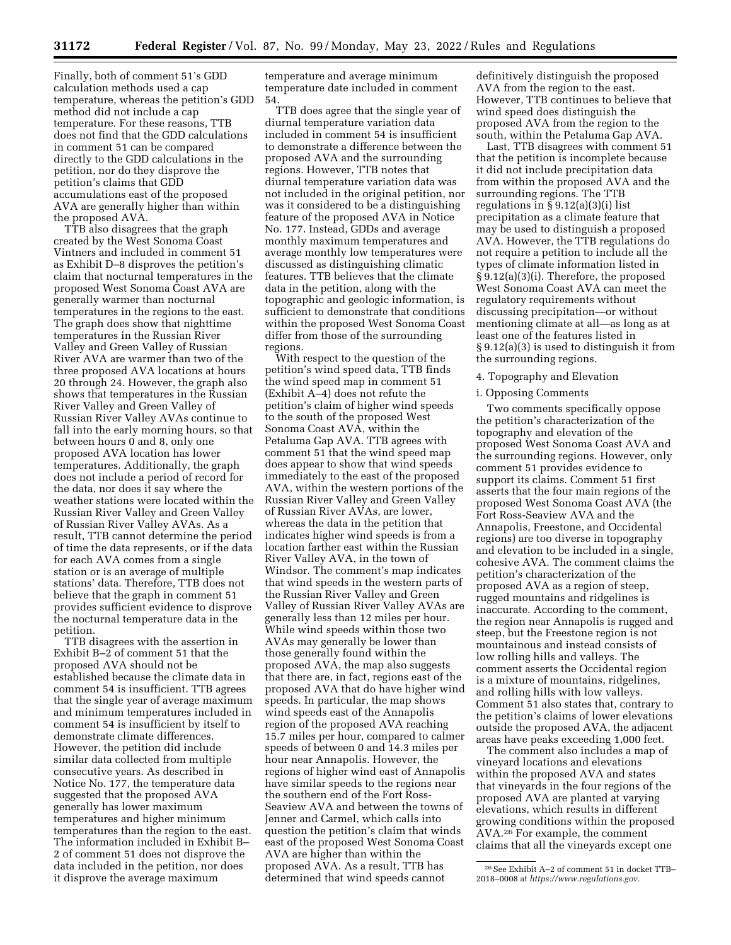Finally, both of comment 51's GDD calculation methods used a cap temperature, whereas the petition's GDD method did not include a cap temperature. For these reasons, TTB does not find that the GDD calculations in comment 51 can be compared directly to the GDD calculations in the petition, nor do they disprove the petition's claims that GDD accumulations east of the proposed AVA are generally higher than within the proposed AVA.

TTB also disagrees that the graph created by the West Sonoma Coast Vintners and included in comment 51 as Exhibit D–8 disproves the petition's claim that nocturnal temperatures in the proposed West Sonoma Coast AVA are generally warmer than nocturnal temperatures in the regions to the east. The graph does show that nighttime temperatures in the Russian River Valley and Green Valley of Russian River AVA are warmer than two of the three proposed AVA locations at hours 20 through 24. However, the graph also shows that temperatures in the Russian River Valley and Green Valley of Russian River Valley AVAs continue to fall into the early morning hours, so that between hours 0 and 8, only one proposed AVA location has lower temperatures. Additionally, the graph does not include a period of record for the data, nor does it say where the weather stations were located within the Russian River Valley and Green Valley of Russian River Valley AVAs. As a result, TTB cannot determine the period of time the data represents, or if the data for each AVA comes from a single station or is an average of multiple stations' data. Therefore, TTB does not believe that the graph in comment 51 provides sufficient evidence to disprove the nocturnal temperature data in the petition.

TTB disagrees with the assertion in Exhibit B–2 of comment 51 that the proposed AVA should not be established because the climate data in comment 54 is insufficient. TTB agrees that the single year of average maximum and minimum temperatures included in comment 54 is insufficient by itself to demonstrate climate differences. However, the petition did include similar data collected from multiple consecutive years. As described in Notice No. 177, the temperature data suggested that the proposed AVA generally has lower maximum temperatures and higher minimum temperatures than the region to the east. The information included in Exhibit B– 2 of comment 51 does not disprove the data included in the petition, nor does it disprove the average maximum

temperature and average minimum temperature date included in comment 54.

TTB does agree that the single year of diurnal temperature variation data included in comment 54 is insufficient to demonstrate a difference between the proposed AVA and the surrounding regions. However, TTB notes that diurnal temperature variation data was not included in the original petition, nor was it considered to be a distinguishing feature of the proposed AVA in Notice No. 177. Instead, GDDs and average monthly maximum temperatures and average monthly low temperatures were discussed as distinguishing climatic features. TTB believes that the climate data in the petition, along with the topographic and geologic information, is sufficient to demonstrate that conditions within the proposed West Sonoma Coast differ from those of the surrounding regions.

With respect to the question of the petition's wind speed data, TTB finds the wind speed map in comment 51 (Exhibit A–4) does not refute the petition's claim of higher wind speeds to the south of the proposed West Sonoma Coast AVA, within the Petaluma Gap AVA. TTB agrees with comment 51 that the wind speed map does appear to show that wind speeds immediately to the east of the proposed AVA, within the western portions of the Russian River Valley and Green Valley of Russian River AVAs, are lower, whereas the data in the petition that indicates higher wind speeds is from a location farther east within the Russian River Valley AVA, in the town of Windsor. The comment's map indicates that wind speeds in the western parts of the Russian River Valley and Green Valley of Russian River Valley AVAs are generally less than 12 miles per hour. While wind speeds within those two AVAs may generally be lower than those generally found within the proposed AVA, the map also suggests that there are, in fact, regions east of the proposed AVA that do have higher wind speeds. In particular, the map shows wind speeds east of the Annapolis region of the proposed AVA reaching 15.7 miles per hour, compared to calmer speeds of between 0 and 14.3 miles per hour near Annapolis. However, the regions of higher wind east of Annapolis have similar speeds to the regions near the southern end of the Fort Ross-Seaview AVA and between the towns of Jenner and Carmel, which calls into question the petition's claim that winds east of the proposed West Sonoma Coast AVA are higher than within the proposed AVA. As a result, TTB has determined that wind speeds cannot

definitively distinguish the proposed AVA from the region to the east. However, TTB continues to believe that wind speed does distinguish the proposed AVA from the region to the south, within the Petaluma Gap AVA.

Last, TTB disagrees with comment 51 that the petition is incomplete because it did not include precipitation data from within the proposed AVA and the surrounding regions. The TTB regulations in  $\S 9.12(a)(3)(i)$  list precipitation as a climate feature that may be used to distinguish a proposed AVA. However, the TTB regulations do not require a petition to include all the types of climate information listed in § 9.12(a)(3)(i). Therefore, the proposed West Sonoma Coast AVA can meet the regulatory requirements without discussing precipitation—or without mentioning climate at all—as long as at least one of the features listed in § 9.12(a)(3) is used to distinguish it from the surrounding regions.

#### 4. Topography and Elevation

#### i. Opposing Comments

Two comments specifically oppose the petition's characterization of the topography and elevation of the proposed West Sonoma Coast AVA and the surrounding regions. However, only comment 51 provides evidence to support its claims. Comment 51 first asserts that the four main regions of the proposed West Sonoma Coast AVA (the Fort Ross-Seaview AVA and the Annapolis, Freestone, and Occidental regions) are too diverse in topography and elevation to be included in a single, cohesive AVA. The comment claims the petition's characterization of the proposed AVA as a region of steep, rugged mountains and ridgelines is inaccurate. According to the comment, the region near Annapolis is rugged and steep, but the Freestone region is not mountainous and instead consists of low rolling hills and valleys. The comment asserts the Occidental region is a mixture of mountains, ridgelines, and rolling hills with low valleys. Comment 51 also states that, contrary to the petition's claims of lower elevations outside the proposed AVA, the adjacent areas have peaks exceeding 1,000 feet.

The comment also includes a map of vineyard locations and elevations within the proposed AVA and states that vineyards in the four regions of the proposed AVA are planted at varying elevations, which results in different growing conditions within the proposed AVA.26 For example, the comment claims that all the vineyards except one

<sup>26</sup>See Exhibit A–2 of comment 51 in docket TTB– 2018–0008 at *[https://www.regulations.gov.](https://www.regulations.gov)*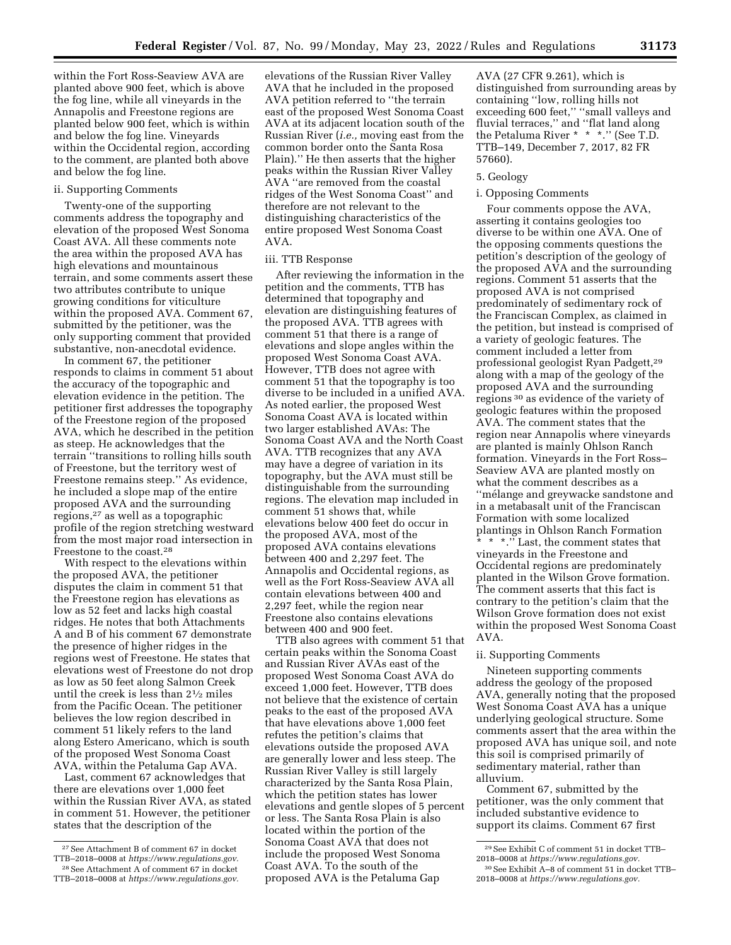within the Fort Ross-Seaview AVA are planted above 900 feet, which is above the fog line, while all vineyards in the Annapolis and Freestone regions are planted below 900 feet, which is within and below the fog line. Vineyards within the Occidental region, according to the comment, are planted both above and below the fog line.

# ii. Supporting Comments

Twenty-one of the supporting comments address the topography and elevation of the proposed West Sonoma Coast AVA. All these comments note the area within the proposed AVA has high elevations and mountainous terrain, and some comments assert these two attributes contribute to unique growing conditions for viticulture within the proposed AVA. Comment 67, submitted by the petitioner, was the only supporting comment that provided substantive, non-anecdotal evidence.

In comment 67, the petitioner responds to claims in comment 51 about the accuracy of the topographic and elevation evidence in the petition. The petitioner first addresses the topography of the Freestone region of the proposed AVA, which he described in the petition as steep. He acknowledges that the terrain ''transitions to rolling hills south of Freestone, but the territory west of Freestone remains steep.'' As evidence, he included a slope map of the entire proposed AVA and the surrounding regions,27 as well as a topographic profile of the region stretching westward from the most major road intersection in Freestone to the coast.28

With respect to the elevations within the proposed AVA, the petitioner disputes the claim in comment 51 that the Freestone region has elevations as low as 52 feet and lacks high coastal ridges. He notes that both Attachments A and B of his comment 67 demonstrate the presence of higher ridges in the regions west of Freestone. He states that elevations west of Freestone do not drop as low as 50 feet along Salmon Creek until the creek is less than 21⁄2 miles from the Pacific Ocean. The petitioner believes the low region described in comment 51 likely refers to the land along Estero Americano, which is south of the proposed West Sonoma Coast AVA, within the Petaluma Gap AVA.

Last, comment 67 acknowledges that there are elevations over 1,000 feet within the Russian River AVA, as stated in comment 51. However, the petitioner states that the description of the

elevations of the Russian River Valley AVA that he included in the proposed AVA petition referred to ''the terrain east of the proposed West Sonoma Coast AVA at its adjacent location south of the Russian River (*i.e.,* moving east from the common border onto the Santa Rosa Plain).'' He then asserts that the higher peaks within the Russian River Valley AVA ''are removed from the coastal ridges of the West Sonoma Coast'' and therefore are not relevant to the distinguishing characteristics of the entire proposed West Sonoma Coast AVA.

#### iii. TTB Response

After reviewing the information in the petition and the comments, TTB has determined that topography and elevation are distinguishing features of the proposed AVA. TTB agrees with comment 51 that there is a range of elevations and slope angles within the proposed West Sonoma Coast AVA. However, TTB does not agree with comment 51 that the topography is too diverse to be included in a unified AVA. As noted earlier, the proposed West Sonoma Coast AVA is located within two larger established AVAs: The Sonoma Coast AVA and the North Coast AVA. TTB recognizes that any AVA may have a degree of variation in its topography, but the AVA must still be distinguishable from the surrounding regions. The elevation map included in comment 51 shows that, while elevations below 400 feet do occur in the proposed AVA, most of the proposed AVA contains elevations between 400 and 2,297 feet. The Annapolis and Occidental regions, as well as the Fort Ross-Seaview AVA all contain elevations between 400 and 2,297 feet, while the region near Freestone also contains elevations between 400 and 900 feet.

TTB also agrees with comment 51 that certain peaks within the Sonoma Coast and Russian River AVAs east of the proposed West Sonoma Coast AVA do exceed 1,000 feet. However, TTB does not believe that the existence of certain peaks to the east of the proposed AVA that have elevations above 1,000 feet refutes the petition's claims that elevations outside the proposed AVA are generally lower and less steep. The Russian River Valley is still largely characterized by the Santa Rosa Plain, which the petition states has lower elevations and gentle slopes of 5 percent or less. The Santa Rosa Plain is also located within the portion of the Sonoma Coast AVA that does not include the proposed West Sonoma Coast AVA. To the south of the proposed AVA is the Petaluma Gap

AVA (27 CFR 9.261), which is distinguished from surrounding areas by containing ''low, rolling hills not exceeding 600 feet,'' ''small valleys and fluvial terraces,'' and ''flat land along the Petaluma River \* \* \*.'' (See T.D. TTB–149, December 7, 2017, 82 FR 57660).

#### 5. Geology

#### i. Opposing Comments

Four comments oppose the AVA, asserting it contains geologies too diverse to be within one AVA. One of the opposing comments questions the petition's description of the geology of the proposed AVA and the surrounding regions. Comment 51 asserts that the proposed AVA is not comprised predominately of sedimentary rock of the Franciscan Complex, as claimed in the petition, but instead is comprised of a variety of geologic features. The comment included a letter from professional geologist Ryan Padgett,29 along with a map of the geology of the proposed AVA and the surrounding regions 30 as evidence of the variety of geologic features within the proposed AVA. The comment states that the region near Annapolis where vineyards are planted is mainly Ohlson Ranch formation. Vineyards in the Fort Ross– Seaview AVA are planted mostly on what the comment describes as a "mélange and greywacke sandstone and in a metabasalt unit of the Franciscan Formation with some localized plantings in Ohlson Ranch Formation \* \* \*.'<sup>"</sup> Last, the comment states that vineyards in the Freestone and Occidental regions are predominately planted in the Wilson Grove formation. The comment asserts that this fact is contrary to the petition's claim that the Wilson Grove formation does not exist within the proposed West Sonoma Coast AVA.

#### ii. Supporting Comments

Nineteen supporting comments address the geology of the proposed AVA, generally noting that the proposed West Sonoma Coast AVA has a unique underlying geological structure. Some comments assert that the area within the proposed AVA has unique soil, and note this soil is comprised primarily of sedimentary material, rather than alluvium.

Comment 67, submitted by the petitioner, was the only comment that included substantive evidence to support its claims. Comment 67 first

<sup>27</sup>See Attachment B of comment 67 in docket TTB–2018–0008 at *[https://www.regulations.gov.](https://www.regulations.gov)*  28See Attachment A of comment 67 in docket TTB–2018–0008 at *[https://www.regulations.gov.](https://www.regulations.gov)* 

<sup>29</sup>See Exhibit C of comment 51 in docket TTB– 2018–0008 at *[https://www.regulations.gov.](https://www.regulations.gov)* 

<sup>30</sup>See Exhibit A–8 of comment 51 in docket TTB– 2018–0008 at *[https://www.regulations.gov.](https://www.regulations.gov)*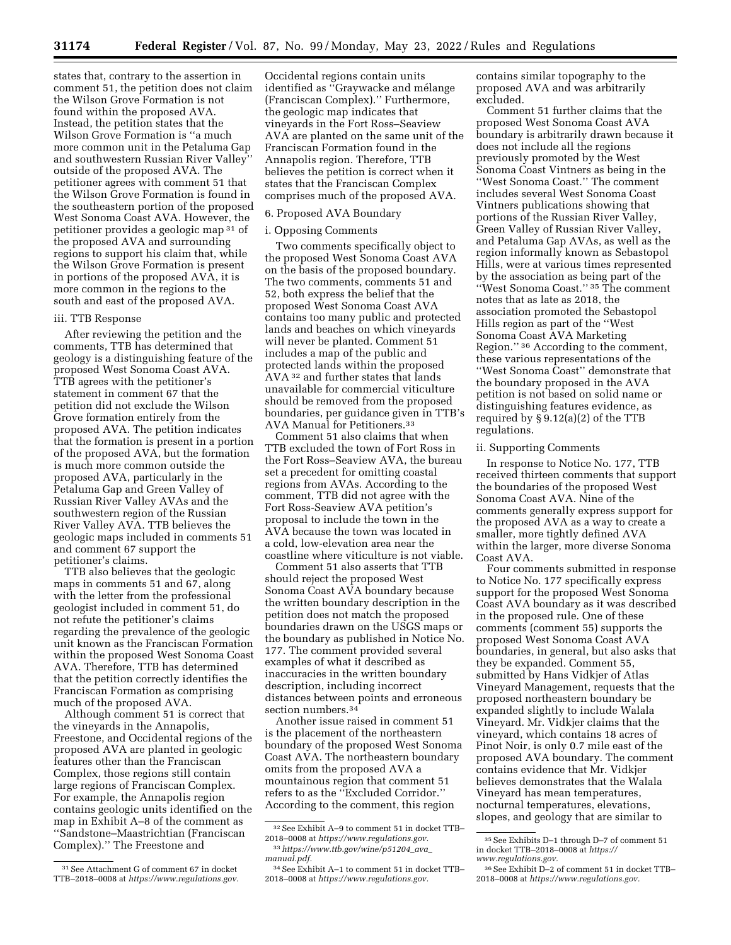states that, contrary to the assertion in comment 51, the petition does not claim the Wilson Grove Formation is not found within the proposed AVA. Instead, the petition states that the Wilson Grove Formation is ''a much more common unit in the Petaluma Gap and southwestern Russian River Valley'' outside of the proposed AVA. The petitioner agrees with comment 51 that the Wilson Grove Formation is found in the southeastern portion of the proposed West Sonoma Coast AVA. However, the petitioner provides a geologic map 31 of the proposed AVA and surrounding regions to support his claim that, while the Wilson Grove Formation is present in portions of the proposed AVA, it is more common in the regions to the south and east of the proposed AVA.

# iii. TTB Response

After reviewing the petition and the comments, TTB has determined that geology is a distinguishing feature of the proposed West Sonoma Coast AVA. TTB agrees with the petitioner's statement in comment 67 that the petition did not exclude the Wilson Grove formation entirely from the proposed AVA. The petition indicates that the formation is present in a portion of the proposed AVA, but the formation is much more common outside the proposed AVA, particularly in the Petaluma Gap and Green Valley of Russian River Valley AVAs and the southwestern region of the Russian River Valley AVA. TTB believes the geologic maps included in comments 51 and comment 67 support the petitioner's claims.

TTB also believes that the geologic maps in comments 51 and 67, along with the letter from the professional geologist included in comment 51, do not refute the petitioner's claims regarding the prevalence of the geologic unit known as the Franciscan Formation within the proposed West Sonoma Coast AVA. Therefore, TTB has determined that the petition correctly identifies the Franciscan Formation as comprising much of the proposed AVA.

Although comment 51 is correct that the vineyards in the Annapolis, Freestone, and Occidental regions of the proposed AVA are planted in geologic features other than the Franciscan Complex, those regions still contain large regions of Franciscan Complex. For example, the Annapolis region contains geologic units identified on the map in Exhibit A–8 of the comment as ''Sandstone–Maastrichtian (Franciscan Complex).'' The Freestone and

Occidental regions contain units identified as "Graywacke and mélange (Franciscan Complex).'' Furthermore, the geologic map indicates that vineyards in the Fort Ross–Seaview AVA are planted on the same unit of the Franciscan Formation found in the Annapolis region. Therefore, TTB believes the petition is correct when it states that the Franciscan Complex comprises much of the proposed AVA.

#### 6. Proposed AVA Boundary

#### i. Opposing Comments

Two comments specifically object to the proposed West Sonoma Coast AVA on the basis of the proposed boundary. The two comments, comments 51 and 52, both express the belief that the proposed West Sonoma Coast AVA contains too many public and protected lands and beaches on which vineyards will never be planted. Comment 51 includes a map of the public and protected lands within the proposed AVA 32 and further states that lands unavailable for commercial viticulture should be removed from the proposed boundaries, per guidance given in TTB's AVA Manual for Petitioners.33

Comment 51 also claims that when TTB excluded the town of Fort Ross in the Fort Ross–Seaview AVA, the bureau set a precedent for omitting coastal regions from AVAs. According to the comment, TTB did not agree with the Fort Ross-Seaview AVA petition's proposal to include the town in the AVA because the town was located in a cold, low-elevation area near the coastline where viticulture is not viable.

Comment 51 also asserts that TTB should reject the proposed West Sonoma Coast AVA boundary because the written boundary description in the petition does not match the proposed boundaries drawn on the USGS maps or the boundary as published in Notice No. 177. The comment provided several examples of what it described as inaccuracies in the written boundary description, including incorrect distances between points and erroneous section numbers.34

Another issue raised in comment 51 is the placement of the northeastern boundary of the proposed West Sonoma Coast AVA. The northeastern boundary omits from the proposed AVA a mountainous region that comment 51 refers to as the ''Excluded Corridor.'' According to the comment, this region

contains similar topography to the proposed AVA and was arbitrarily excluded.

Comment 51 further claims that the proposed West Sonoma Coast AVA boundary is arbitrarily drawn because it does not include all the regions previously promoted by the West Sonoma Coast Vintners as being in the ''West Sonoma Coast.'' The comment includes several West Sonoma Coast Vintners publications showing that portions of the Russian River Valley, Green Valley of Russian River Valley, and Petaluma Gap AVAs, as well as the region informally known as Sebastopol Hills, were at various times represented by the association as being part of the ''West Sonoma Coast.'' 35 The comment notes that as late as 2018, the association promoted the Sebastopol Hills region as part of the ''West Sonoma Coast AVA Marketing Region.'' 36 According to the comment, these various representations of the ''West Sonoma Coast'' demonstrate that the boundary proposed in the AVA petition is not based on solid name or distinguishing features evidence, as required by  $\S 9.12(a)(2)$  of the TTB regulations.

#### ii. Supporting Comments

In response to Notice No. 177, TTB received thirteen comments that support the boundaries of the proposed West Sonoma Coast AVA. Nine of the comments generally express support for the proposed AVA as a way to create a smaller, more tightly defined AVA within the larger, more diverse Sonoma Coast AVA.

Four comments submitted in response to Notice No. 177 specifically express support for the proposed West Sonoma Coast AVA boundary as it was described in the proposed rule. One of these comments (comment 55) supports the proposed West Sonoma Coast AVA boundaries, in general, but also asks that they be expanded. Comment 55, submitted by Hans Vidkjer of Atlas Vineyard Management, requests that the proposed northeastern boundary be expanded slightly to include Walala Vineyard. Mr. Vidkjer claims that the vineyard, which contains 18 acres of Pinot Noir, is only 0.7 mile east of the proposed AVA boundary. The comment contains evidence that Mr. Vidkjer believes demonstrates that the Walala Vineyard has mean temperatures, nocturnal temperatures, elevations, slopes, and geology that are similar to

<sup>31</sup>See Attachment G of comment 67 in docket TTB–2018–0008 at *[https://www.regulations.gov.](https://www.regulations.gov)* 

<sup>32</sup>See Exhibit A–9 to comment 51 in docket TTB– 2018–0008 at *[https://www.regulations.gov.](https://www.regulations.gov)*  33*[https://www.ttb.gov/wine/p51204](https://www.ttb.gov/wine/p51204_ava_manual.pdf)*\_*ava*\_

*[manual.pdf.](https://www.ttb.gov/wine/p51204_ava_manual.pdf)* 

<sup>34</sup>See Exhibit A–1 to comment 51 in docket TTB– 2018–0008 at *[https://www.regulations.gov.](https://www.regulations.gov)* 

<sup>35</sup>See Exhibits D–1 through D–7 of comment 51 in docket TTB–2018–0008 at *[https://](https://www.regulations.gov) [www.regulations.gov.](https://www.regulations.gov)* 

<sup>36</sup>See Exhibit D–2 of comment 51 in docket TTB– 2018–0008 at *[https://www.regulations.gov.](https://www.regulations.gov)*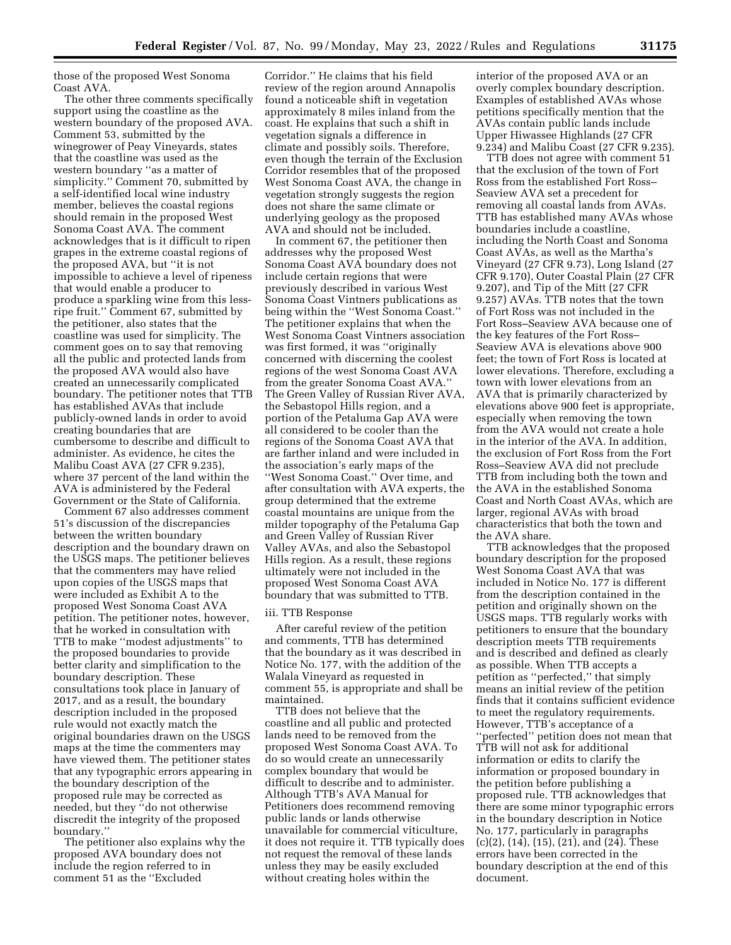those of the proposed West Sonoma Coast AVA.

The other three comments specifically support using the coastline as the western boundary of the proposed AVA. Comment 53, submitted by the winegrower of Peay Vineyards, states that the coastline was used as the western boundary ''as a matter of simplicity.'' Comment 70, submitted by a self-identified local wine industry member, believes the coastal regions should remain in the proposed West Sonoma Coast AVA. The comment acknowledges that is it difficult to ripen grapes in the extreme coastal regions of the proposed AVA, but ''it is not impossible to achieve a level of ripeness that would enable a producer to produce a sparkling wine from this lessripe fruit.'' Comment 67, submitted by the petitioner, also states that the coastline was used for simplicity. The comment goes on to say that removing all the public and protected lands from the proposed AVA would also have created an unnecessarily complicated boundary. The petitioner notes that TTB has established AVAs that include publicly-owned lands in order to avoid creating boundaries that are cumbersome to describe and difficult to administer. As evidence, he cites the Malibu Coast AVA (27 CFR 9.235), where 37 percent of the land within the AVA is administered by the Federal Government or the State of California.

Comment 67 also addresses comment 51's discussion of the discrepancies between the written boundary description and the boundary drawn on the USGS maps. The petitioner believes that the commenters may have relied upon copies of the USGS maps that were included as Exhibit A to the proposed West Sonoma Coast AVA petition. The petitioner notes, however, that he worked in consultation with TTB to make ''modest adjustments'' to the proposed boundaries to provide better clarity and simplification to the boundary description. These consultations took place in January of 2017, and as a result, the boundary description included in the proposed rule would not exactly match the original boundaries drawn on the USGS maps at the time the commenters may have viewed them. The petitioner states that any typographic errors appearing in the boundary description of the proposed rule may be corrected as needed, but they ''do not otherwise discredit the integrity of the proposed boundary.''

The petitioner also explains why the proposed AVA boundary does not include the region referred to in comment 51 as the ''Excluded

Corridor.'' He claims that his field review of the region around Annapolis found a noticeable shift in vegetation approximately 8 miles inland from the coast. He explains that such a shift in vegetation signals a difference in climate and possibly soils. Therefore, even though the terrain of the Exclusion Corridor resembles that of the proposed West Sonoma Coast AVA, the change in vegetation strongly suggests the region does not share the same climate or underlying geology as the proposed AVA and should not be included.

In comment 67, the petitioner then addresses why the proposed West Sonoma Coast AVA boundary does not include certain regions that were previously described in various West Sonoma Coast Vintners publications as being within the ''West Sonoma Coast.'' The petitioner explains that when the West Sonoma Coast Vintners association was first formed, it was ''originally concerned with discerning the coolest regions of the west Sonoma Coast AVA from the greater Sonoma Coast AVA.'' The Green Valley of Russian River AVA, the Sebastopol Hills region, and a portion of the Petaluma Gap AVA were all considered to be cooler than the regions of the Sonoma Coast AVA that are farther inland and were included in the association's early maps of the ''West Sonoma Coast.'' Over time, and after consultation with AVA experts, the group determined that the extreme coastal mountains are unique from the milder topography of the Petaluma Gap and Green Valley of Russian River Valley AVAs, and also the Sebastopol Hills region. As a result, these regions ultimately were not included in the proposed West Sonoma Coast AVA boundary that was submitted to TTB.

#### iii. TTB Response

After careful review of the petition and comments, TTB has determined that the boundary as it was described in Notice No. 177, with the addition of the Walala Vineyard as requested in comment 55, is appropriate and shall be maintained.

TTB does not believe that the coastline and all public and protected lands need to be removed from the proposed West Sonoma Coast AVA. To do so would create an unnecessarily complex boundary that would be difficult to describe and to administer. Although TTB's AVA Manual for Petitioners does recommend removing public lands or lands otherwise unavailable for commercial viticulture, it does not require it. TTB typically does not request the removal of these lands unless they may be easily excluded without creating holes within the

interior of the proposed AVA or an overly complex boundary description. Examples of established AVAs whose petitions specifically mention that the AVAs contain public lands include Upper Hiwassee Highlands (27 CFR 9.234) and Malibu Coast (27 CFR 9.235).

TTB does not agree with comment 51 that the exclusion of the town of Fort Ross from the established Fort Ross– Seaview AVA set a precedent for removing all coastal lands from AVAs. TTB has established many AVAs whose boundaries include a coastline, including the North Coast and Sonoma Coast AVAs, as well as the Martha's Vineyard (27 CFR 9.73), Long Island (27 CFR 9.170), Outer Coastal Plain (27 CFR 9.207), and Tip of the Mitt (27 CFR 9.257) AVAs. TTB notes that the town of Fort Ross was not included in the Fort Ross–Seaview AVA because one of the key features of the Fort Ross– Seaview AVA is elevations above 900 feet; the town of Fort Ross is located at lower elevations. Therefore, excluding a town with lower elevations from an AVA that is primarily characterized by elevations above 900 feet is appropriate, especially when removing the town from the AVA would not create a hole in the interior of the AVA. In addition, the exclusion of Fort Ross from the Fort Ross–Seaview AVA did not preclude TTB from including both the town and the AVA in the established Sonoma Coast and North Coast AVAs, which are larger, regional AVAs with broad characteristics that both the town and the AVA share.

TTB acknowledges that the proposed boundary description for the proposed West Sonoma Coast AVA that was included in Notice No. 177 is different from the description contained in the petition and originally shown on the USGS maps. TTB regularly works with petitioners to ensure that the boundary description meets TTB requirements and is described and defined as clearly as possible. When TTB accepts a petition as ''perfected,'' that simply means an initial review of the petition finds that it contains sufficient evidence to meet the regulatory requirements. However, TTB's acceptance of a ''perfected'' petition does not mean that TTB will not ask for additional information or edits to clarify the information or proposed boundary in the petition before publishing a proposed rule. TTB acknowledges that there are some minor typographic errors in the boundary description in Notice No. 177, particularly in paragraphs (c)(2), (14), (15), (21), and (24). These errors have been corrected in the boundary description at the end of this document.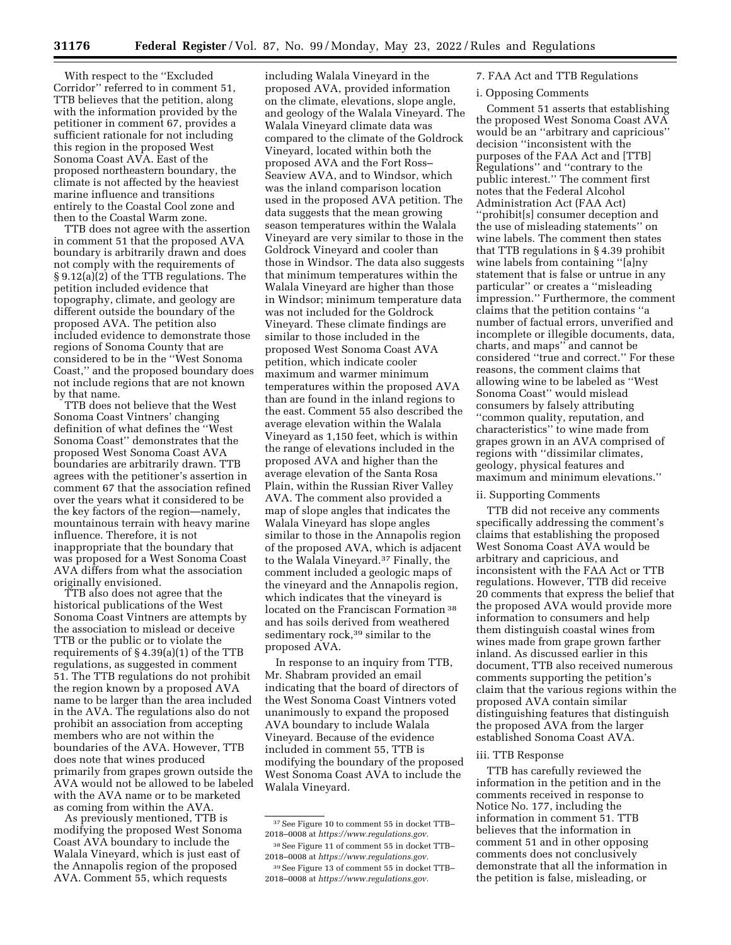With respect to the ''Excluded Corridor'' referred to in comment 51, TTB believes that the petition, along with the information provided by the petitioner in comment 67, provides a sufficient rationale for not including this region in the proposed West Sonoma Coast AVA. East of the proposed northeastern boundary, the climate is not affected by the heaviest marine influence and transitions entirely to the Coastal Cool zone and then to the Coastal Warm zone.

TTB does not agree with the assertion in comment 51 that the proposed AVA boundary is arbitrarily drawn and does not comply with the requirements of § 9.12(a)(2) of the TTB regulations. The petition included evidence that topography, climate, and geology are different outside the boundary of the proposed AVA. The petition also included evidence to demonstrate those regions of Sonoma County that are considered to be in the ''West Sonoma Coast,'' and the proposed boundary does not include regions that are not known by that name.

TTB does not believe that the West Sonoma Coast Vintners' changing definition of what defines the ''West Sonoma Coast'' demonstrates that the proposed West Sonoma Coast AVA boundaries are arbitrarily drawn. TTB agrees with the petitioner's assertion in comment 67 that the association refined over the years what it considered to be the key factors of the region—namely, mountainous terrain with heavy marine influence. Therefore, it is not inappropriate that the boundary that was proposed for a West Sonoma Coast AVA differs from what the association originally envisioned.

TTB also does not agree that the historical publications of the West Sonoma Coast Vintners are attempts by the association to mislead or deceive TTB or the public or to violate the requirements of § 4.39(a)(1) of the TTB regulations, as suggested in comment 51. The TTB regulations do not prohibit the region known by a proposed AVA name to be larger than the area included in the AVA. The regulations also do not prohibit an association from accepting members who are not within the boundaries of the AVA. However, TTB does note that wines produced primarily from grapes grown outside the AVA would not be allowed to be labeled with the AVA name or to be marketed as coming from within the AVA.

As previously mentioned, TTB is modifying the proposed West Sonoma Coast AVA boundary to include the Walala Vineyard, which is just east of the Annapolis region of the proposed AVA. Comment 55, which requests

including Walala Vineyard in the proposed AVA, provided information on the climate, elevations, slope angle, and geology of the Walala Vineyard. The Walala Vineyard climate data was compared to the climate of the Goldrock Vineyard, located within both the proposed AVA and the Fort Ross– Seaview AVA, and to Windsor, which was the inland comparison location used in the proposed AVA petition. The data suggests that the mean growing season temperatures within the Walala Vineyard are very similar to those in the Goldrock Vineyard and cooler than those in Windsor. The data also suggests that minimum temperatures within the Walala Vineyard are higher than those in Windsor; minimum temperature data was not included for the Goldrock Vineyard. These climate findings are similar to those included in the proposed West Sonoma Coast AVA petition, which indicate cooler maximum and warmer minimum temperatures within the proposed AVA than are found in the inland regions to the east. Comment 55 also described the average elevation within the Walala Vineyard as 1,150 feet, which is within the range of elevations included in the proposed AVA and higher than the average elevation of the Santa Rosa Plain, within the Russian River Valley AVA. The comment also provided a map of slope angles that indicates the Walala Vineyard has slope angles similar to those in the Annapolis region of the proposed AVA, which is adjacent to the Walala Vineyard.37 Finally, the comment included a geologic maps of the vineyard and the Annapolis region, which indicates that the vineyard is located on the Franciscan Formation 38 and has soils derived from weathered sedimentary rock,<sup>39</sup> similar to the proposed AVA.

In response to an inquiry from TTB, Mr. Shabram provided an email indicating that the board of directors of the West Sonoma Coast Vintners voted unanimously to expand the proposed AVA boundary to include Walala Vineyard. Because of the evidence included in comment 55, TTB is modifying the boundary of the proposed West Sonoma Coast AVA to include the Walala Vineyard.

#### 7. FAA Act and TTB Regulations

#### i. Opposing Comments

Comment 51 asserts that establishing the proposed West Sonoma Coast AVA would be an ''arbitrary and capricious'' decision ''inconsistent with the purposes of the FAA Act and [TTB] Regulations'' and ''contrary to the public interest.'' The comment first notes that the Federal Alcohol Administration Act (FAA Act) ''prohibit[s] consumer deception and the use of misleading statements'' on wine labels. The comment then states that TTB regulations in § 4.39 prohibit wine labels from containing ''[a]ny statement that is false or untrue in any particular'' or creates a ''misleading impression.'' Furthermore, the comment claims that the petition contains ''a number of factual errors, unverified and incomplete or illegible documents, data, charts, and maps'' and cannot be considered ''true and correct.'' For these reasons, the comment claims that allowing wine to be labeled as ''West Sonoma Coast'' would mislead consumers by falsely attributing ''common quality, reputation, and characteristics'' to wine made from grapes grown in an AVA comprised of regions with ''dissimilar climates, geology, physical features and maximum and minimum elevations.''

## ii. Supporting Comments

TTB did not receive any comments specifically addressing the comment's claims that establishing the proposed West Sonoma Coast AVA would be arbitrary and capricious, and inconsistent with the FAA Act or TTB regulations. However, TTB did receive 20 comments that express the belief that the proposed AVA would provide more information to consumers and help them distinguish coastal wines from wines made from grape grown farther inland. As discussed earlier in this document, TTB also received numerous comments supporting the petition's claim that the various regions within the proposed AVA contain similar distinguishing features that distinguish the proposed AVA from the larger established Sonoma Coast AVA.

#### iii. TTB Response

TTB has carefully reviewed the information in the petition and in the comments received in response to Notice No. 177, including the information in comment 51. TTB believes that the information in comment 51 and in other opposing comments does not conclusively demonstrate that all the information in the petition is false, misleading, or

<sup>37</sup>See Figure 10 to comment 55 in docket TTB– 2018–0008 at *[https://www.regulations.gov.](https://www.regulations.gov)* 

<sup>38</sup>See Figure 11 of comment 55 in docket TTB– 2018–0008 at *[https://www.regulations.gov.](https://www.regulations.gov)*  39See Figure 13 of comment 55 in docket TTB–

<sup>2018–0008</sup> at *[https://www.regulations.gov.](https://www.regulations.gov)*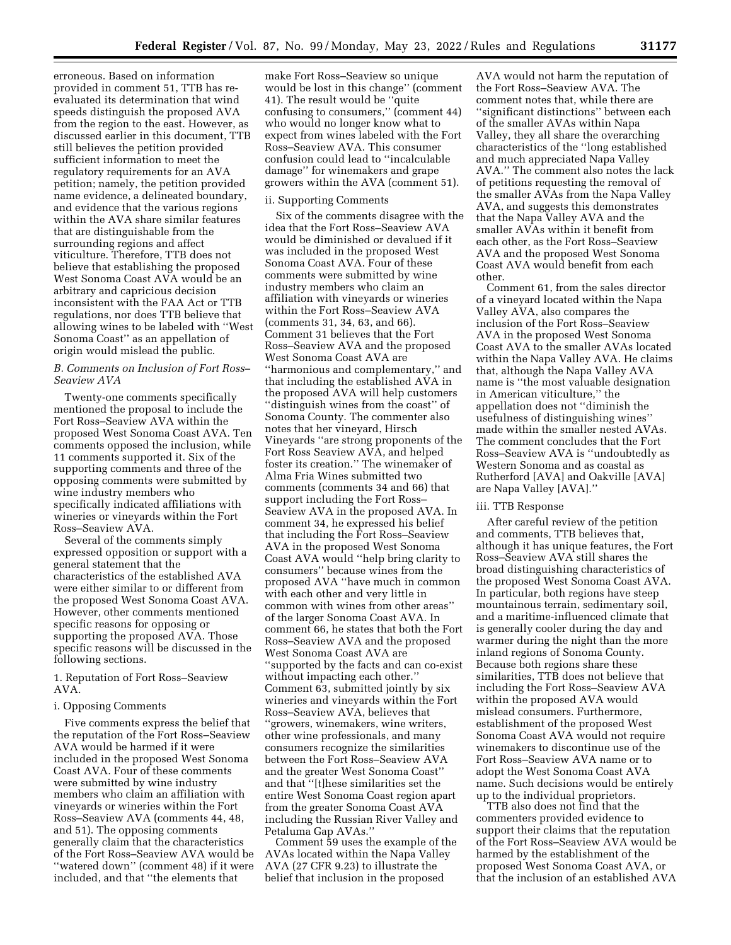erroneous. Based on information provided in comment 51, TTB has reevaluated its determination that wind speeds distinguish the proposed AVA from the region to the east. However, as discussed earlier in this document, TTB still believes the petition provided sufficient information to meet the regulatory requirements for an AVA petition; namely, the petition provided name evidence, a delineated boundary, and evidence that the various regions within the AVA share similar features that are distinguishable from the surrounding regions and affect viticulture. Therefore, TTB does not believe that establishing the proposed West Sonoma Coast AVA would be an arbitrary and capricious decision inconsistent with the FAA Act or TTB regulations, nor does TTB believe that allowing wines to be labeled with ''West Sonoma Coast'' as an appellation of origin would mislead the public.

### *B. Comments on Inclusion of Fort Ross– Seaview AVA*

Twenty-one comments specifically mentioned the proposal to include the Fort Ross–Seaview AVA within the proposed West Sonoma Coast AVA. Ten comments opposed the inclusion, while 11 comments supported it. Six of the supporting comments and three of the opposing comments were submitted by wine industry members who specifically indicated affiliations with wineries or vineyards within the Fort Ross–Seaview AVA.

Several of the comments simply expressed opposition or support with a general statement that the characteristics of the established AVA were either similar to or different from the proposed West Sonoma Coast AVA. However, other comments mentioned specific reasons for opposing or supporting the proposed AVA. Those specific reasons will be discussed in the following sections.

1. Reputation of Fort Ross–Seaview AVA.

# i. Opposing Comments

Five comments express the belief that the reputation of the Fort Ross–Seaview AVA would be harmed if it were included in the proposed West Sonoma Coast AVA. Four of these comments were submitted by wine industry members who claim an affiliation with vineyards or wineries within the Fort Ross–Seaview AVA (comments 44, 48, and 51). The opposing comments generally claim that the characteristics of the Fort Ross–Seaview AVA would be ''watered down'' (comment 48) if it were included, and that ''the elements that

make Fort Ross–Seaview so unique would be lost in this change'' (comment 41). The result would be ''quite confusing to consumers,'' (comment 44) who would no longer know what to expect from wines labeled with the Fort Ross–Seaview AVA. This consumer confusion could lead to ''incalculable damage'' for winemakers and grape growers within the AVA (comment 51).

#### ii. Supporting Comments

Six of the comments disagree with the idea that the Fort Ross–Seaview AVA would be diminished or devalued if it was included in the proposed West Sonoma Coast AVA. Four of these comments were submitted by wine industry members who claim an affiliation with vineyards or wineries within the Fort Ross–Seaview AVA (comments 31, 34, 63, and 66). Comment 31 believes that the Fort Ross–Seaview AVA and the proposed West Sonoma Coast AVA are ''harmonious and complementary,'' and that including the established AVA in the proposed AVA will help customers ''distinguish wines from the coast'' of Sonoma County. The commenter also notes that her vineyard, Hirsch Vineyards ''are strong proponents of the Fort Ross Seaview AVA, and helped foster its creation.'' The winemaker of Alma Fria Wines submitted two comments (comments 34 and 66) that support including the Fort Ross– Seaview AVA in the proposed AVA. In comment 34, he expressed his belief that including the Fort Ross–Seaview AVA in the proposed West Sonoma Coast AVA would ''help bring clarity to consumers'' because wines from the proposed AVA ''have much in common with each other and very little in common with wines from other areas'' of the larger Sonoma Coast AVA. In comment 66, he states that both the Fort Ross–Seaview AVA and the proposed West Sonoma Coast AVA are ''supported by the facts and can co-exist without impacting each other.'' Comment 63, submitted jointly by six wineries and vineyards within the Fort Ross–Seaview AVA, believes that ''growers, winemakers, wine writers, other wine professionals, and many consumers recognize the similarities between the Fort Ross–Seaview AVA and the greater West Sonoma Coast'' and that ''[t]hese similarities set the entire West Sonoma Coast region apart from the greater Sonoma Coast AVA including the Russian River Valley and Petaluma Gap AVAs.''

Comment 59 uses the example of the AVAs located within the Napa Valley AVA (27 CFR 9.23) to illustrate the belief that inclusion in the proposed

AVA would not harm the reputation of the Fort Ross–Seaview AVA. The comment notes that, while there are ''significant distinctions'' between each of the smaller AVAs within Napa Valley, they all share the overarching characteristics of the ''long established and much appreciated Napa Valley AVA.'' The comment also notes the lack of petitions requesting the removal of the smaller AVAs from the Napa Valley AVA, and suggests this demonstrates that the Napa Valley AVA and the smaller AVAs within it benefit from each other, as the Fort Ross–Seaview AVA and the proposed West Sonoma Coast AVA would benefit from each other.

Comment 61, from the sales director of a vineyard located within the Napa Valley AVA, also compares the inclusion of the Fort Ross–Seaview AVA in the proposed West Sonoma Coast AVA to the smaller AVAs located within the Napa Valley AVA. He claims that, although the Napa Valley AVA name is ''the most valuable designation in American viticulture,'' the appellation does not ''diminish the usefulness of distinguishing wines'' made within the smaller nested AVAs. The comment concludes that the Fort Ross–Seaview AVA is ''undoubtedly as Western Sonoma and as coastal as Rutherford [AVA] and Oakville [AVA] are Napa Valley [AVA].''

#### iii. TTB Response

After careful review of the petition and comments, TTB believes that, although it has unique features, the Fort Ross–Seaview AVA still shares the broad distinguishing characteristics of the proposed West Sonoma Coast AVA. In particular, both regions have steep mountainous terrain, sedimentary soil, and a maritime-influenced climate that is generally cooler during the day and warmer during the night than the more inland regions of Sonoma County. Because both regions share these similarities, TTB does not believe that including the Fort Ross–Seaview AVA within the proposed AVA would mislead consumers. Furthermore, establishment of the proposed West Sonoma Coast AVA would not require winemakers to discontinue use of the Fort Ross–Seaview AVA name or to adopt the West Sonoma Coast AVA name. Such decisions would be entirely up to the individual proprietors.

TTB also does not find that the commenters provided evidence to support their claims that the reputation of the Fort Ross–Seaview AVA would be harmed by the establishment of the proposed West Sonoma Coast AVA, or that the inclusion of an established AVA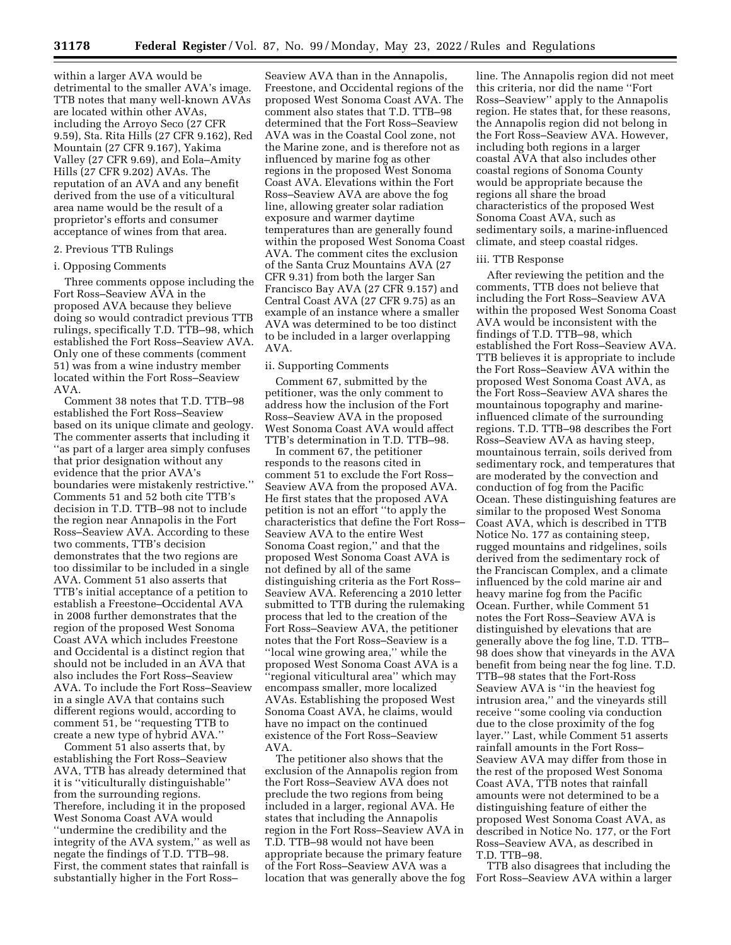within a larger AVA would be detrimental to the smaller AVA's image. TTB notes that many well-known AVAs are located within other AVAs, including the Arroyo Seco (27 CFR 9.59), Sta. Rita Hills (27 CFR 9.162), Red Mountain (27 CFR 9.167), Yakima Valley (27 CFR 9.69), and Eola–Amity Hills (27 CFR 9.202) AVAs. The reputation of an AVA and any benefit derived from the use of a viticultural area name would be the result of a proprietor's efforts and consumer acceptance of wines from that area.

# 2. Previous TTB Rulings

#### i. Opposing Comments

Three comments oppose including the Fort Ross–Seaview AVA in the proposed AVA because they believe doing so would contradict previous TTB rulings, specifically T.D. TTB–98, which established the Fort Ross–Seaview AVA. Only one of these comments (comment 51) was from a wine industry member located within the Fort Ross–Seaview AVA.

Comment 38 notes that T.D. TTB–98 established the Fort Ross–Seaview based on its unique climate and geology. The commenter asserts that including it ''as part of a larger area simply confuses that prior designation without any evidence that the prior AVA's boundaries were mistakenly restrictive.'' Comments 51 and 52 both cite TTB's decision in T.D. TTB–98 not to include the region near Annapolis in the Fort Ross–Seaview AVA. According to these two comments, TTB's decision demonstrates that the two regions are too dissimilar to be included in a single AVA. Comment 51 also asserts that TTB's initial acceptance of a petition to establish a Freestone–Occidental AVA in 2008 further demonstrates that the region of the proposed West Sonoma Coast AVA which includes Freestone and Occidental is a distinct region that should not be included in an AVA that also includes the Fort Ross–Seaview AVA. To include the Fort Ross–Seaview in a single AVA that contains such different regions would, according to comment 51, be ''requesting TTB to create a new type of hybrid AVA.''

Comment 51 also asserts that, by establishing the Fort Ross–Seaview AVA, TTB has already determined that it is ''viticulturally distinguishable'' from the surrounding regions. Therefore, including it in the proposed West Sonoma Coast AVA would ''undermine the credibility and the integrity of the AVA system," as well as negate the findings of T.D. TTB–98. First, the comment states that rainfall is substantially higher in the Fort Ross–

Seaview AVA than in the Annapolis, Freestone, and Occidental regions of the proposed West Sonoma Coast AVA. The comment also states that T.D. TTB–98 determined that the Fort Ross–Seaview AVA was in the Coastal Cool zone, not the Marine zone, and is therefore not as influenced by marine fog as other regions in the proposed West Sonoma Coast AVA. Elevations within the Fort Ross–Seaview AVA are above the fog line, allowing greater solar radiation exposure and warmer daytime temperatures than are generally found within the proposed West Sonoma Coast AVA. The comment cites the exclusion of the Santa Cruz Mountains AVA (27 CFR 9.31) from both the larger San Francisco Bay AVA (27 CFR 9.157) and Central Coast AVA (27 CFR 9.75) as an example of an instance where a smaller AVA was determined to be too distinct to be included in a larger overlapping AVA.

#### ii. Supporting Comments

Comment 67, submitted by the petitioner, was the only comment to address how the inclusion of the Fort Ross–Seaview AVA in the proposed West Sonoma Coast AVA would affect TTB's determination in T.D. TTB–98.

In comment 67, the petitioner responds to the reasons cited in comment 51 to exclude the Fort Ross– Seaview AVA from the proposed AVA. He first states that the proposed AVA petition is not an effort ''to apply the characteristics that define the Fort Ross– Seaview AVA to the entire West Sonoma Coast region,'' and that the proposed West Sonoma Coast AVA is not defined by all of the same distinguishing criteria as the Fort Ross– Seaview AVA. Referencing a 2010 letter submitted to TTB during the rulemaking process that led to the creation of the Fort Ross–Seaview AVA, the petitioner notes that the Fort Ross–Seaview is a ''local wine growing area,'' while the proposed West Sonoma Coast AVA is a ''regional viticultural area'' which may encompass smaller, more localized AVAs. Establishing the proposed West Sonoma Coast AVA, he claims, would have no impact on the continued existence of the Fort Ross–Seaview AVA.

The petitioner also shows that the exclusion of the Annapolis region from the Fort Ross–Seaview AVA does not preclude the two regions from being included in a larger, regional AVA. He states that including the Annapolis region in the Fort Ross–Seaview AVA in T.D. TTB–98 would not have been appropriate because the primary feature of the Fort Ross–Seaview AVA was a location that was generally above the fog

line. The Annapolis region did not meet this criteria, nor did the name ''Fort Ross–Seaview'' apply to the Annapolis region. He states that, for these reasons, the Annapolis region did not belong in the Fort Ross–Seaview AVA. However, including both regions in a larger coastal AVA that also includes other coastal regions of Sonoma County would be appropriate because the regions all share the broad characteristics of the proposed West Sonoma Coast AVA, such as sedimentary soils, a marine-influenced climate, and steep coastal ridges.

# iii. TTB Response

After reviewing the petition and the comments, TTB does not believe that including the Fort Ross–Seaview AVA within the proposed West Sonoma Coast AVA would be inconsistent with the findings of T.D. TTB–98, which established the Fort Ross–Seaview AVA. TTB believes it is appropriate to include the Fort Ross–Seaview AVA within the proposed West Sonoma Coast AVA, as the Fort Ross–Seaview AVA shares the mountainous topography and marineinfluenced climate of the surrounding regions. T.D. TTB–98 describes the Fort Ross–Seaview AVA as having steep, mountainous terrain, soils derived from sedimentary rock, and temperatures that are moderated by the convection and conduction of fog from the Pacific Ocean. These distinguishing features are similar to the proposed West Sonoma Coast AVA, which is described in TTB Notice No. 177 as containing steep, rugged mountains and ridgelines, soils derived from the sedimentary rock of the Franciscan Complex, and a climate influenced by the cold marine air and heavy marine fog from the Pacific Ocean. Further, while Comment 51 notes the Fort Ross–Seaview AVA is distinguished by elevations that are generally above the fog line, T.D. TTB– 98 does show that vineyards in the AVA benefit from being near the fog line. T.D. TTB–98 states that the Fort-Ross Seaview AVA is ''in the heaviest fog intrusion area,'' and the vineyards still receive ''some cooling via conduction due to the close proximity of the fog layer.'' Last, while Comment 51 asserts rainfall amounts in the Fort Ross– Seaview AVA may differ from those in the rest of the proposed West Sonoma Coast AVA, TTB notes that rainfall amounts were not determined to be a distinguishing feature of either the proposed West Sonoma Coast AVA, as described in Notice No. 177, or the Fort Ross–Seaview AVA, as described in T.D. TTB–98.

TTB also disagrees that including the Fort Ross–Seaview AVA within a larger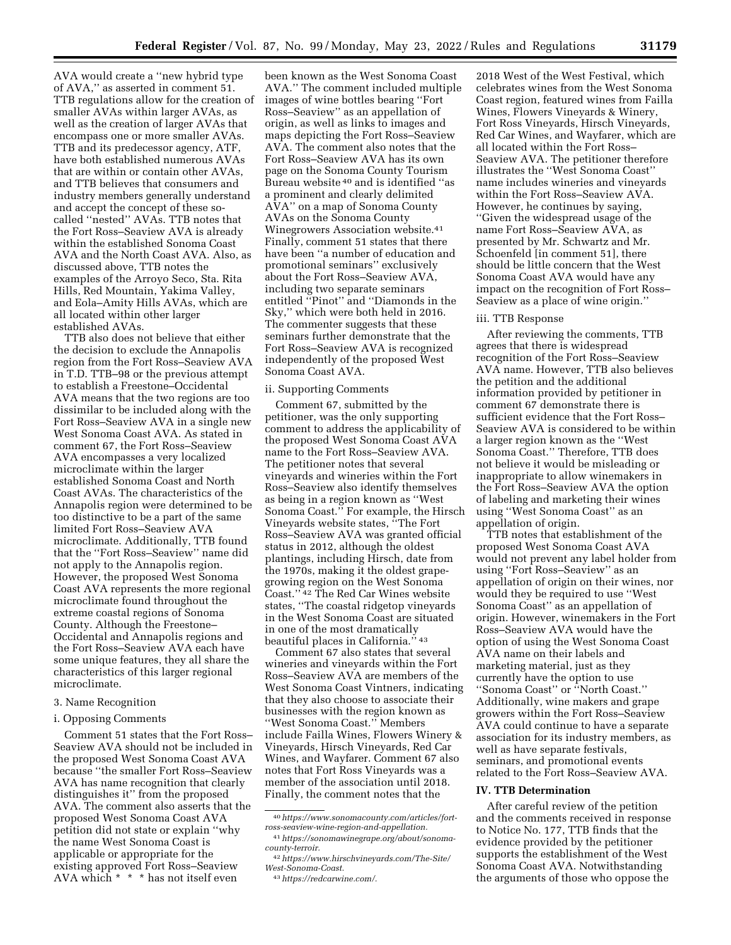AVA would create a ''new hybrid type of AVA,'' as asserted in comment 51. TTB regulations allow for the creation of smaller AVAs within larger AVAs, as well as the creation of larger AVAs that encompass one or more smaller AVAs. TTB and its predecessor agency, ATF, have both established numerous AVAs that are within or contain other AVAs, and TTB believes that consumers and industry members generally understand and accept the concept of these socalled ''nested'' AVAs. TTB notes that the Fort Ross–Seaview AVA is already within the established Sonoma Coast AVA and the North Coast AVA. Also, as discussed above, TTB notes the examples of the Arroyo Seco, Sta. Rita Hills, Red Mountain, Yakima Valley, and Eola–Amity Hills AVAs, which are all located within other larger established AVAs.

TTB also does not believe that either the decision to exclude the Annapolis region from the Fort Ross–Seaview AVA in T.D. TTB–98 or the previous attempt to establish a Freestone–Occidental AVA means that the two regions are too dissimilar to be included along with the Fort Ross–Seaview AVA in a single new West Sonoma Coast AVA. As stated in comment 67, the Fort Ross–Seaview AVA encompasses a very localized microclimate within the larger established Sonoma Coast and North Coast AVAs. The characteristics of the Annapolis region were determined to be too distinctive to be a part of the same limited Fort Ross–Seaview AVA microclimate. Additionally, TTB found that the ''Fort Ross–Seaview'' name did not apply to the Annapolis region. However, the proposed West Sonoma Coast AVA represents the more regional microclimate found throughout the extreme coastal regions of Sonoma County. Although the Freestone– Occidental and Annapolis regions and the Fort Ross–Seaview AVA each have some unique features, they all share the characteristics of this larger regional microclimate.

# 3. Name Recognition

# i. Opposing Comments

Comment 51 states that the Fort Ross– Seaview AVA should not be included in the proposed West Sonoma Coast AVA because ''the smaller Fort Ross–Seaview AVA has name recognition that clearly distinguishes it'' from the proposed AVA. The comment also asserts that the proposed West Sonoma Coast AVA petition did not state or explain ''why the name West Sonoma Coast is applicable or appropriate for the existing approved Fort Ross–Seaview AVA which \* \* \* has not itself even

been known as the West Sonoma Coast AVA.'' The comment included multiple images of wine bottles bearing ''Fort Ross–Seaview'' as an appellation of origin, as well as links to images and maps depicting the Fort Ross–Seaview AVA. The comment also notes that the Fort Ross–Seaview AVA has its own page on the Sonoma County Tourism Bureau website 40 and is identified ''as a prominent and clearly delimited AVA'' on a map of Sonoma County AVAs on the Sonoma County Winegrowers Association website.41 Finally, comment 51 states that there have been ''a number of education and promotional seminars'' exclusively about the Fort Ross–Seaview AVA, including two separate seminars entitled ''Pinot'' and ''Diamonds in the Sky,'' which were both held in 2016. The commenter suggests that these seminars further demonstrate that the Fort Ross–Seaview AVA is recognized independently of the proposed West Sonoma Coast AVA.

#### ii. Supporting Comments

Comment 67, submitted by the petitioner, was the only supporting comment to address the applicability of the proposed West Sonoma Coast AVA name to the Fort Ross–Seaview AVA. The petitioner notes that several vineyards and wineries within the Fort Ross–Seaview also identify themselves as being in a region known as ''West Sonoma Coast.'' For example, the Hirsch Vineyards website states, ''The Fort Ross–Seaview AVA was granted official status in 2012, although the oldest plantings, including Hirsch, date from the 1970s, making it the oldest grapegrowing region on the West Sonoma Coast.'' 42 The Red Car Wines website states, ''The coastal ridgetop vineyards in the West Sonoma Coast are situated in one of the most dramatically beautiful places in California." 43

Comment 67 also states that several wineries and vineyards within the Fort Ross–Seaview AVA are members of the West Sonoma Coast Vintners, indicating that they also choose to associate their businesses with the region known as ''West Sonoma Coast.'' Members include Failla Wines, Flowers Winery & Vineyards, Hirsch Vineyards, Red Car Wines, and Wayfarer. Comment 67 also notes that Fort Ross Vineyards was a member of the association until 2018. Finally, the comment notes that the

2018 West of the West Festival, which celebrates wines from the West Sonoma Coast region, featured wines from Failla Wines, Flowers Vineyards & Winery, Fort Ross Vineyards, Hirsch Vineyards, Red Car Wines, and Wayfarer, which are all located within the Fort Ross– Seaview AVA. The petitioner therefore illustrates the ''West Sonoma Coast'' name includes wineries and vineyards within the Fort Ross–Seaview AVA. However, he continues by saying, ''Given the widespread usage of the name Fort Ross–Seaview AVA, as presented by Mr. Schwartz and Mr. Schoenfeld [in comment 51], there should be little concern that the West Sonoma Coast AVA would have any impact on the recognition of Fort Ross– Seaview as a place of wine origin.''

# iii. TTB Response

After reviewing the comments, TTB agrees that there is widespread recognition of the Fort Ross–Seaview AVA name. However, TTB also believes the petition and the additional information provided by petitioner in comment 67 demonstrate there is sufficient evidence that the Fort Ross– Seaview AVA is considered to be within a larger region known as the ''West Sonoma Coast.'' Therefore, TTB does not believe it would be misleading or inappropriate to allow winemakers in the Fort Ross–Seaview AVA the option of labeling and marketing their wines using ''West Sonoma Coast'' as an appellation of origin.

TTB notes that establishment of the proposed West Sonoma Coast AVA would not prevent any label holder from using ''Fort Ross–Seaview'' as an appellation of origin on their wines, nor would they be required to use ''West Sonoma Coast'' as an appellation of origin. However, winemakers in the Fort Ross–Seaview AVA would have the option of using the West Sonoma Coast AVA name on their labels and marketing material, just as they currently have the option to use ''Sonoma Coast'' or ''North Coast.'' Additionally, wine makers and grape growers within the Fort Ross–Seaview AVA could continue to have a separate association for its industry members, as well as have separate festivals, seminars, and promotional events related to the Fort Ross–Seaview AVA.

#### **IV. TTB Determination**

After careful review of the petition and the comments received in response to Notice No. 177, TTB finds that the evidence provided by the petitioner supports the establishment of the West Sonoma Coast AVA. Notwithstanding the arguments of those who oppose the

<sup>40</sup>*[https://www.sonomacounty.com/articles/fort](https://www.sonomacounty.com/articles/fort-ross-seaview-wine-region-and-appellation)[ross-seaview-wine-region-and-appellation.](https://www.sonomacounty.com/articles/fort-ross-seaview-wine-region-and-appellation)* 

<sup>41</sup>*[https://sonomawinegrape.org/about/sonoma](https://sonomawinegrape.org/about/sonoma-county-terroir)[county-terroir.](https://sonomawinegrape.org/about/sonoma-county-terroir)* 

<sup>42</sup>*[https://www.hirschvineyards.com/The-Site/](https://www.hirschvineyards.com/The-Site/West-Sonoma-Coast) [West-Sonoma-Coast.](https://www.hirschvineyards.com/The-Site/West-Sonoma-Coast)* 

<sup>43</sup>*[https://redcarwine.com/.](https://redcarwine.com/)*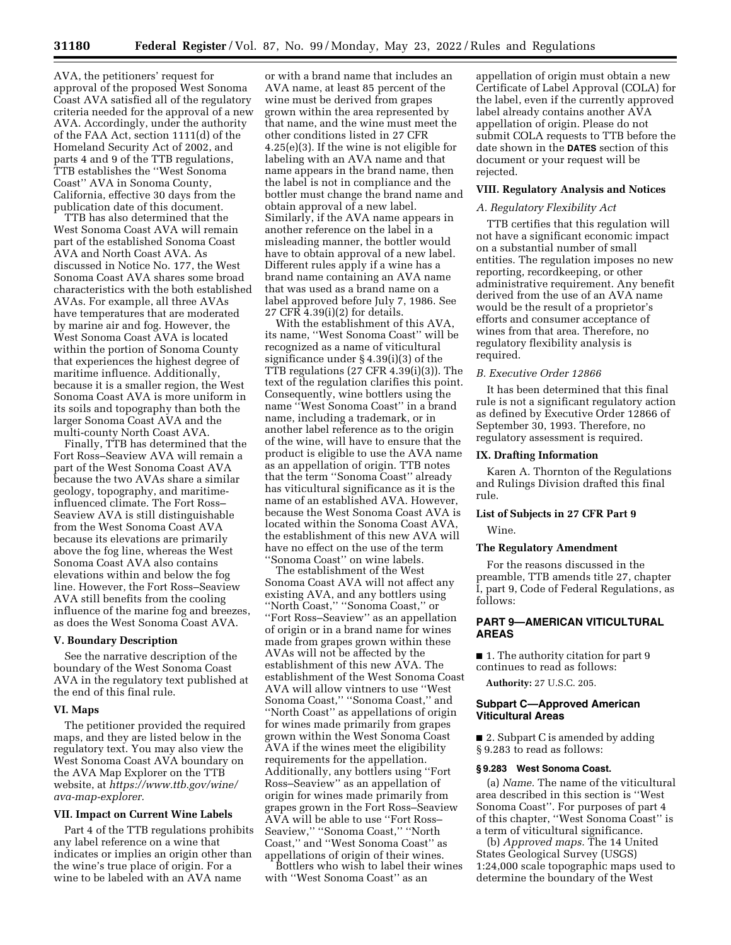AVA, the petitioners' request for approval of the proposed West Sonoma Coast AVA satisfied all of the regulatory criteria needed for the approval of a new AVA. Accordingly, under the authority of the FAA Act, section 1111(d) of the Homeland Security Act of 2002, and parts 4 and 9 of the TTB regulations, TTB establishes the ''West Sonoma Coast'' AVA in Sonoma County, California, effective 30 days from the publication date of this document.

TTB has also determined that the West Sonoma Coast AVA will remain part of the established Sonoma Coast AVA and North Coast AVA. As discussed in Notice No. 177, the West Sonoma Coast AVA shares some broad characteristics with the both established AVAs. For example, all three AVAs have temperatures that are moderated by marine air and fog. However, the West Sonoma Coast AVA is located within the portion of Sonoma County that experiences the highest degree of maritime influence. Additionally, because it is a smaller region, the West Sonoma Coast AVA is more uniform in its soils and topography than both the larger Sonoma Coast AVA and the multi-county North Coast AVA.

Finally, TTB has determined that the Fort Ross–Seaview AVA will remain a part of the West Sonoma Coast AVA because the two AVAs share a similar geology, topography, and maritimeinfluenced climate. The Fort Ross– Seaview AVA is still distinguishable from the West Sonoma Coast AVA because its elevations are primarily above the fog line, whereas the West Sonoma Coast AVA also contains elevations within and below the fog line. However, the Fort Ross–Seaview AVA still benefits from the cooling influence of the marine fog and breezes, as does the West Sonoma Coast AVA.

#### **V. Boundary Description**

See the narrative description of the boundary of the West Sonoma Coast AVA in the regulatory text published at the end of this final rule.

#### **VI. Maps**

The petitioner provided the required maps, and they are listed below in the regulatory text. You may also view the West Sonoma Coast AVA boundary on the AVA Map Explorer on the TTB website, at *[https://www.ttb.gov/wine/](https://www.ttb.gov/wine/ava-map-explorer) [ava-map-explorer.](https://www.ttb.gov/wine/ava-map-explorer)* 

#### **VII. Impact on Current Wine Labels**

Part 4 of the TTB regulations prohibits any label reference on a wine that indicates or implies an origin other than the wine's true place of origin. For a wine to be labeled with an AVA name

or with a brand name that includes an AVA name, at least 85 percent of the wine must be derived from grapes grown within the area represented by that name, and the wine must meet the other conditions listed in 27 CFR 4.25(e)(3). If the wine is not eligible for labeling with an AVA name and that name appears in the brand name, then the label is not in compliance and the bottler must change the brand name and obtain approval of a new label. Similarly, if the AVA name appears in another reference on the label in a misleading manner, the bottler would have to obtain approval of a new label. Different rules apply if a wine has a brand name containing an AVA name that was used as a brand name on a label approved before July 7, 1986. See 27 CFR 4.39(i)(2) for details.

With the establishment of this AVA, its name, ''West Sonoma Coast'' will be recognized as a name of viticultural significance under § 4.39(i)(3) of the TTB regulations (27 CFR 4.39(i)(3)). The text of the regulation clarifies this point. Consequently, wine bottlers using the name ''West Sonoma Coast'' in a brand name, including a trademark, or in another label reference as to the origin of the wine, will have to ensure that the product is eligible to use the AVA name as an appellation of origin. TTB notes that the term ''Sonoma Coast'' already has viticultural significance as it is the name of an established AVA. However, because the West Sonoma Coast AVA is located within the Sonoma Coast AVA, the establishment of this new AVA will have no effect on the use of the term ''Sonoma Coast'' on wine labels.

The establishment of the West Sonoma Coast AVA will not affect any existing AVA, and any bottlers using ''North Coast,'' ''Sonoma Coast,'' or ''Fort Ross–Seaview'' as an appellation of origin or in a brand name for wines made from grapes grown within these AVAs will not be affected by the establishment of this new AVA. The establishment of the West Sonoma Coast AVA will allow vintners to use ''West Sonoma Coast,'' ''Sonoma Coast,'' and ''North Coast'' as appellations of origin for wines made primarily from grapes grown within the West Sonoma Coast AVA if the wines meet the eligibility requirements for the appellation. Additionally, any bottlers using ''Fort Ross–Seaview'' as an appellation of origin for wines made primarily from grapes grown in the Fort Ross–Seaview AVA will be able to use ''Fort Ross– Seaview,'' ''Sonoma Coast,'' ''North Coast,'' and ''West Sonoma Coast'' as appellations of origin of their wines.

Bottlers who wish to label their wines with ''West Sonoma Coast'' as an

appellation of origin must obtain a new Certificate of Label Approval (COLA) for the label, even if the currently approved label already contains another AVA appellation of origin. Please do not submit COLA requests to TTB before the date shown in the **DATES** section of this document or your request will be rejected.

# **VIII. Regulatory Analysis and Notices**

# *A. Regulatory Flexibility Act*

TTB certifies that this regulation will not have a significant economic impact on a substantial number of small entities. The regulation imposes no new reporting, recordkeeping, or other administrative requirement. Any benefit derived from the use of an AVA name would be the result of a proprietor's efforts and consumer acceptance of wines from that area. Therefore, no regulatory flexibility analysis is required.

# *B. Executive Order 12866*

It has been determined that this final rule is not a significant regulatory action as defined by Executive Order 12866 of September 30, 1993. Therefore, no regulatory assessment is required.

#### **IX. Drafting Information**

Karen A. Thornton of the Regulations and Rulings Division drafted this final rule.

# **List of Subjects in 27 CFR Part 9**

Wine.

# **The Regulatory Amendment**

For the reasons discussed in the preamble, TTB amends title 27, chapter I, part 9, Code of Federal Regulations, as follows:

# **PART 9—AMERICAN VITICULTURAL AREAS**

■ 1. The authority citation for part 9 continues to read as follows:

**Authority:** 27 U.S.C. 205.

#### **Subpart C—Approved American Viticultural Areas**

■ 2. Subpart C is amended by adding § 9.283 to read as follows:

# **§ 9.283 West Sonoma Coast.**

(a) *Name.* The name of the viticultural area described in this section is ''West Sonoma Coast''. For purposes of part 4 of this chapter, ''West Sonoma Coast'' is a term of viticultural significance.

(b) *Approved maps.* The 14 United States Geological Survey (USGS) 1:24,000 scale topographic maps used to determine the boundary of the West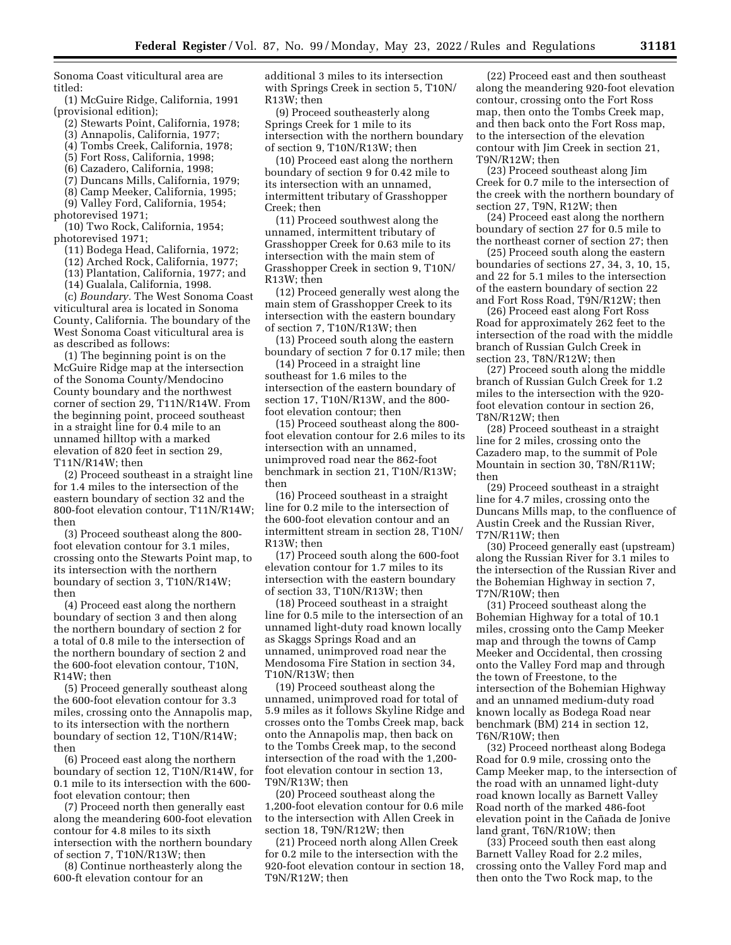Sonoma Coast viticultural area are titled:

(1) McGuire Ridge, California, 1991 (provisional edition);

- (2) Stewarts Point, California, 1978;
- (3) Annapolis, California, 1977;
- (4) Tombs Creek, California, 1978;
- (5) Fort Ross, California, 1998;
- (6) Cazadero, California, 1998;
- (7) Duncans Mills, California, 1979;
- (8) Camp Meeker, California, 1995;

(9) Valley Ford, California, 1954; photorevised 1971;

(10) Two Rock, California, 1954; photorevised 1971;

- (11) Bodega Head, California, 1972;
- (12) Arched Rock, California, 1977;
- (13) Plantation, California, 1977; and
- (14) Gualala, California, 1998.

(c) *Boundary.* The West Sonoma Coast viticultural area is located in Sonoma County, California. The boundary of the West Sonoma Coast viticultural area is as described as follows:

(1) The beginning point is on the McGuire Ridge map at the intersection of the Sonoma County/Mendocino County boundary and the northwest corner of section 29, T11N/R14W. From the beginning point, proceed southeast in a straight line for 0.4 mile to an unnamed hilltop with a marked elevation of 820 feet in section 29, T11N/R14W; then

(2) Proceed southeast in a straight line for 1.4 miles to the intersection of the eastern boundary of section 32 and the 800-foot elevation contour, T11N/R14W; then

(3) Proceed southeast along the 800 foot elevation contour for 3.1 miles, crossing onto the Stewarts Point map, to its intersection with the northern boundary of section 3, T10N/R14W; then

(4) Proceed east along the northern boundary of section 3 and then along the northern boundary of section 2 for a total of 0.8 mile to the intersection of the northern boundary of section 2 and the 600-foot elevation contour, T10N, R14W; then

(5) Proceed generally southeast along the 600-foot elevation contour for 3.3 miles, crossing onto the Annapolis map, to its intersection with the northern boundary of section 12, T10N/R14W; then

(6) Proceed east along the northern boundary of section 12, T10N/R14W, for 0.1 mile to its intersection with the 600 foot elevation contour; then

(7) Proceed north then generally east along the meandering 600-foot elevation contour for 4.8 miles to its sixth intersection with the northern boundary of section 7, T10N/R13W; then

(8) Continue northeasterly along the 600-ft elevation contour for an

additional 3 miles to its intersection with Springs Creek in section 5, T10N/ R13W; then

(9) Proceed southeasterly along Springs Creek for 1 mile to its intersection with the northern boundary of section 9, T10N/R13W; then

(10) Proceed east along the northern boundary of section 9 for 0.42 mile to its intersection with an unnamed, intermittent tributary of Grasshopper Creek; then

(11) Proceed southwest along the unnamed, intermittent tributary of Grasshopper Creek for 0.63 mile to its intersection with the main stem of Grasshopper Creek in section 9, T10N/ R13W; then

(12) Proceed generally west along the main stem of Grasshopper Creek to its intersection with the eastern boundary of section 7, T10N/R13W; then

(13) Proceed south along the eastern boundary of section 7 for 0.17 mile; then

(14) Proceed in a straight line southeast for 1.6 miles to the intersection of the eastern boundary of section 17, T10N/R13W, and the 800 foot elevation contour; then

(15) Proceed southeast along the 800 foot elevation contour for 2.6 miles to its intersection with an unnamed, unimproved road near the 862-foot benchmark in section 21, T10N/R13W; then

(16) Proceed southeast in a straight line for 0.2 mile to the intersection of the 600-foot elevation contour and an intermittent stream in section 28, T10N/ R13W; then

(17) Proceed south along the 600-foot elevation contour for 1.7 miles to its intersection with the eastern boundary of section 33, T10N/R13W; then

(18) Proceed southeast in a straight line for 0.5 mile to the intersection of an unnamed light-duty road known locally as Skaggs Springs Road and an unnamed, unimproved road near the Mendosoma Fire Station in section 34, T10N/R13W; then

(19) Proceed southeast along the unnamed, unimproved road for total of 5.9 miles as it follows Skyline Ridge and crosses onto the Tombs Creek map, back onto the Annapolis map, then back on to the Tombs Creek map, to the second intersection of the road with the 1,200 foot elevation contour in section 13, T9N/R13W; then

(20) Proceed southeast along the 1,200-foot elevation contour for 0.6 mile to the intersection with Allen Creek in section 18, T9N/R12W; then

(21) Proceed north along Allen Creek for 0.2 mile to the intersection with the 920-foot elevation contour in section 18, T9N/R12W; then

(22) Proceed east and then southeast along the meandering 920-foot elevation contour, crossing onto the Fort Ross map, then onto the Tombs Creek map, and then back onto the Fort Ross map, to the intersection of the elevation contour with Jim Creek in section 21, T9N/R12W; then

(23) Proceed southeast along Jim Creek for 0.7 mile to the intersection of the creek with the northern boundary of section 27, T9N, R12W; then

(24) Proceed east along the northern boundary of section 27 for 0.5 mile to the northeast corner of section 27; then

(25) Proceed south along the eastern boundaries of sections 27, 34, 3, 10, 15, and 22 for 5.1 miles to the intersection of the eastern boundary of section 22 and Fort Ross Road, T9N/R12W; then

(26) Proceed east along Fort Ross Road for approximately 262 feet to the intersection of the road with the middle branch of Russian Gulch Creek in section 23, T8N/R12W; then

(27) Proceed south along the middle branch of Russian Gulch Creek for 1.2 miles to the intersection with the 920 foot elevation contour in section 26, T8N/R12W; then

(28) Proceed southeast in a straight line for 2 miles, crossing onto the Cazadero map, to the summit of Pole Mountain in section 30, T8N/R11W; then

(29) Proceed southeast in a straight line for 4.7 miles, crossing onto the Duncans Mills map, to the confluence of Austin Creek and the Russian River, T7N/R11W; then

(30) Proceed generally east (upstream) along the Russian River for 3.1 miles to the intersection of the Russian River and the Bohemian Highway in section 7, T7N/R10W; then

(31) Proceed southeast along the Bohemian Highway for a total of 10.1 miles, crossing onto the Camp Meeker map and through the towns of Camp Meeker and Occidental, then crossing onto the Valley Ford map and through the town of Freestone, to the intersection of the Bohemian Highway and an unnamed medium-duty road known locally as Bodega Road near benchmark (BM) 214 in section 12, T6N/R10W; then

(32) Proceed northeast along Bodega Road for 0.9 mile, crossing onto the Camp Meeker map, to the intersection of the road with an unnamed light-duty road known locally as Barnett Valley Road north of the marked 486-foot elevation point in the Cañada de Jonive land grant, T6N/R10W; then

(33) Proceed south then east along Barnett Valley Road for 2.2 miles, crossing onto the Valley Ford map and then onto the Two Rock map, to the